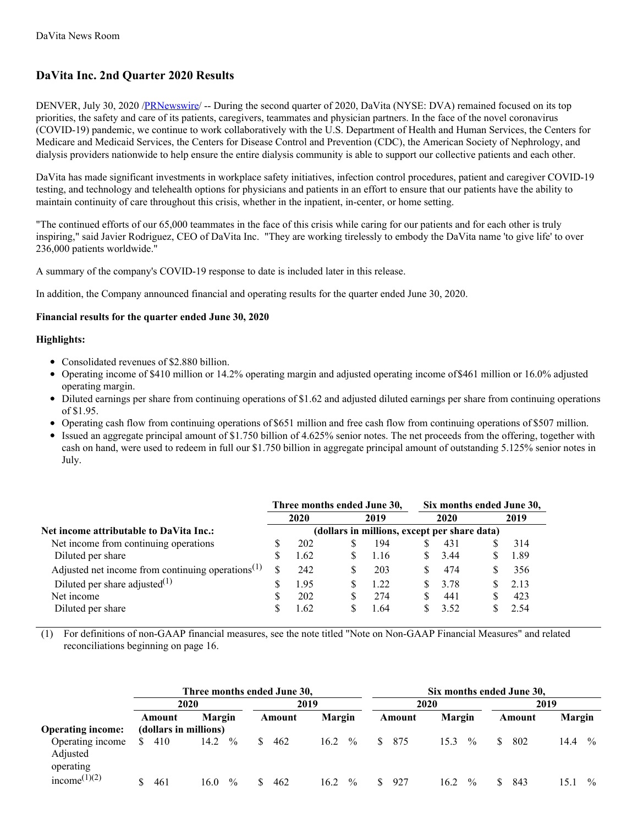# **DaVita Inc. 2nd Quarter 2020 Results**

DENVER, July 30, 2020 [/PRNewswire](http://www.prnewswire.com/)/ -- During the second quarter of 2020, DaVita (NYSE: DVA) remained focused on its top priorities, the safety and care of its patients, caregivers, teammates and physician partners. In the face of the novel coronavirus (COVID-19) pandemic, we continue to work collaboratively with the U.S. Department of Health and Human Services, the Centers for Medicare and Medicaid Services, the Centers for Disease Control and Prevention (CDC), the American Society of Nephrology, and dialysis providers nationwide to help ensure the entire dialysis community is able to support our collective patients and each other.

DaVita has made significant investments in workplace safety initiatives, infection control procedures, patient and caregiver COVID-19 testing, and technology and telehealth options for physicians and patients in an effort to ensure that our patients have the ability to maintain continuity of care throughout this crisis, whether in the inpatient, in-center, or home setting.

"The continued efforts of our 65,000 teammates in the face of this crisis while caring for our patients and for each other is truly inspiring," said Javier Rodriguez, CEO of DaVita Inc. "They are working tirelessly to embody the DaVita name 'to give life' to over 236,000 patients worldwide."

A summary of the company's COVID-19 response to date is included later in this release.

In addition, the Company announced financial and operating results for the quarter ended June 30, 2020.

## **Financial results for the quarter ended June 30, 2020**

## **Highlights:**

- Consolidated revenues of \$2.880 billion.
- Operating income of \$410 million or 14.2% operating margin and adjusted operating income of\$461 million or 16.0% adjusted operating margin.
- Diluted earnings per share from continuing operations of \$1.62 and adjusted diluted earnings per share from continuing operations of \$1.95.
- Operating cash flow from continuing operations of \$651 million and free cash flow from continuing operations of \$507 million.
- Issued an aggregate principal amount of \$1.750 billion of 4.625% senior notes. The net proceeds from the offering, together with cash on hand, were used to redeem in full our \$1.750 billion in aggregate principal amount of outstanding 5.125% senior notes in July.

|                                                      |  | Three months ended June 30, |   |                                              | Six months ended June 30, |    |      |
|------------------------------------------------------|--|-----------------------------|---|----------------------------------------------|---------------------------|----|------|
|                                                      |  | 2020                        |   | 2019                                         | 2020                      |    | 2019 |
| Net income attributable to DaVita Inc.:              |  |                             |   | (dollars in millions, except per share data) |                           |    |      |
| Net income from continuing operations                |  | 202                         | S | 194                                          | 431                       |    | 314  |
| Diluted per share                                    |  | 1.62                        |   | 1.16                                         | 3.44                      |    | 1.89 |
| Adjusted net income from continuing operations $(1)$ |  | 242                         | S | 203                                          | 474                       |    | 356  |
| Diluted per share adjusted $^{(1)}$                  |  | 1.95                        |   | 1.22                                         | 3.78                      | S. | 2.13 |
| Net income                                           |  | 202                         | S | 274                                          | 441                       |    | 423  |
| Diluted per share                                    |  | 1.62                        | S | 1.64                                         | 3.52                      |    | 2.54 |

(1) For definitions of non-GAAP financial measures, see the note titled "Note on Non-GAAP Financial Measures" and related reconciliations beginning on page 16.

|                                           |                       |                       | Three months ended June 30, |                       |                      |                       | Six months ended June 30, |                       |
|-------------------------------------------|-----------------------|-----------------------|-----------------------------|-----------------------|----------------------|-----------------------|---------------------------|-----------------------|
|                                           |                       | 2020                  | 2019                        |                       | 2020                 |                       | 2019                      |                       |
|                                           | Amount                | <b>Margin</b>         | Amount                      | <b>Margin</b>         | Amount               | Margin                | Amount                    | <b>Margin</b>         |
| <b>Operating income:</b>                  | (dollars in millions) |                       |                             |                       |                      |                       |                           |                       |
| Operating income<br>Adjusted<br>operating | 410<br>S.             | $\%$<br>14.2          | 462<br><sup>S</sup>         | 16.2<br>$\frac{0}{0}$ | 875<br><sup>\$</sup> | $\frac{0}{0}$<br>15.3 | 802<br>SS.                | 14.4<br>$\frac{0}{0}$ |
| income <sup>(1)(2)</sup>                  | 461                   | $\frac{0}{0}$<br>16.0 | 462                         | $\frac{0}{0}$<br>16.2 | 927<br>S.            | $\frac{0}{0}$<br>16.2 | 843                       | $\frac{0}{0}$<br>15.1 |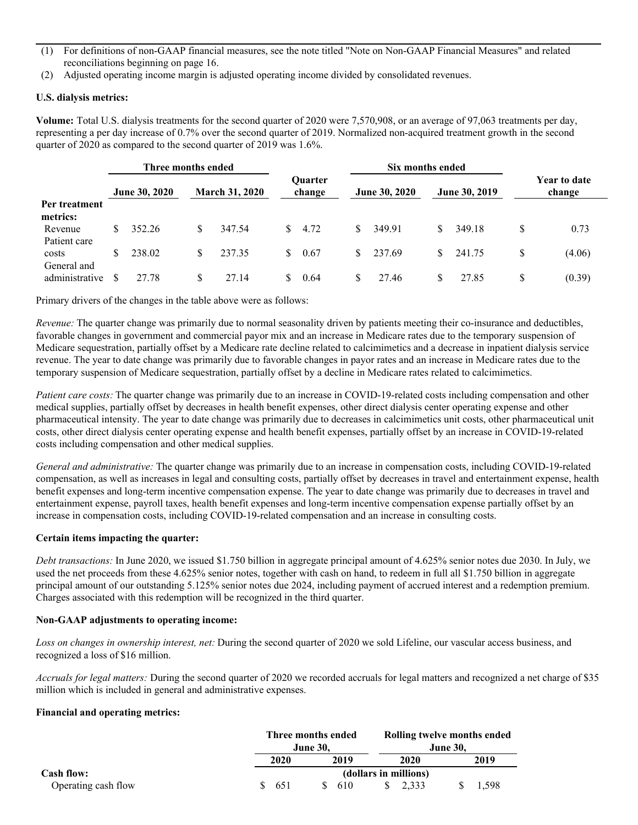- (1) For definitions of non-GAAP financial measures, see the note titled "Note on Non-GAAP Financial Measures" and related reconciliations beginning on page 16.
- (2) Adjusted operating income margin is adjusted operating income divided by consolidated revenues.

## **U.S. dialysis metrics:**

**Volume:** Total U.S. dialysis treatments for the second quarter of 2020 were 7,570,908, or an average of 97,063 treatments per day, representing a per day increase of 0.7% over the second quarter of 2019. Normalized non-acquired treatment growth in the second quarter of 2020 as compared to the second quarter of 2019 was 1.6%.

|                           |    | Three months ended |    |                       |              | Six months ended         |    |                      |    |                      |    |                               |  |  |
|---------------------------|----|--------------------|----|-----------------------|--------------|--------------------------|----|----------------------|----|----------------------|----|-------------------------------|--|--|
|                           |    | June 30, 2020      |    | <b>March 31, 2020</b> |              | <b>Ouarter</b><br>change |    | <b>June 30, 2020</b> |    | <b>June 30, 2019</b> |    | <b>Year to date</b><br>change |  |  |
| Per treatment<br>metrics: |    |                    |    |                       |              |                          |    |                      |    |                      |    |                               |  |  |
| Revenue<br>Patient care   | S. | 352.26             | S  | 347.54                |              | $\frac{\$}{4.72}$        | S. | 349.91               | S. | 349.18               | S  | 0.73                          |  |  |
| costs<br>General and      | S. | 238.02             | S. | 237.35                | <sup>S</sup> | 0.67                     | S. | 237.69               | S. | 241.75               | \$ | (4.06)                        |  |  |
| administrative            |    | 27.78              |    | 27.14                 |              | 0.64                     | S. | 27.46                | S  | 27.85                | \$ | (0.39)                        |  |  |

Primary drivers of the changes in the table above were as follows:

*Revenue:* The quarter change was primarily due to normal seasonality driven by patients meeting their co-insurance and deductibles, favorable changes in government and commercial payor mix and an increase in Medicare rates due to the temporary suspension of Medicare sequestration, partially offset by a Medicare rate decline related to calcimimetics and a decrease in inpatient dialysis service revenue. The year to date change was primarily due to favorable changes in payor rates and an increase in Medicare rates due to the temporary suspension of Medicare sequestration, partially offset by a decline in Medicare rates related to calcimimetics.

*Patient care costs:* The quarter change was primarily due to an increase in COVID-19-related costs including compensation and other medical supplies, partially offset by decreases in health benefit expenses, other direct dialysis center operating expense and other pharmaceutical intensity. The year to date change was primarily due to decreases in calcimimetics unit costs, other pharmaceutical unit costs, other direct dialysis center operating expense and health benefit expenses, partially offset by an increase in COVID-19-related costs including compensation and other medical supplies.

*General and administrative:* The quarter change was primarily due to an increase in compensation costs, including COVID-19-related compensation, as well as increases in legal and consulting costs, partially offset by decreases in travel and entertainment expense, health benefit expenses and long-term incentive compensation expense. The year to date change was primarily due to decreases in travel and entertainment expense, payroll taxes, health benefit expenses and long-term incentive compensation expense partially offset by an increase in compensation costs, including COVID-19-related compensation and an increase in consulting costs.

## **Certain items impacting the quarter:**

*Debt transactions:* In June 2020, we issued \$1.750 billion in aggregate principal amount of 4.625% senior notes due 2030. In July, we used the net proceeds from these 4.625% senior notes, together with cash on hand, to redeem in full all \$1.750 billion in aggregate principal amount of our outstanding 5.125% senior notes due 2024, including payment of accrued interest and a redemption premium. Charges associated with this redemption will be recognized in the third quarter.

#### **Non-GAAP adjustments to operating income:**

*Loss on changes in ownership interest, net:* During the second quarter of 2020 we sold Lifeline, our vascular access business, and recognized a loss of \$16 million.

*Accruals for legal matters:* During the second quarter of 2020 we recorded accruals for legal matters and recognized a net charge of \$35 million which is included in general and administrative expenses.

#### **Financial and operating metrics:**

|                     |      | Three months ended<br><b>June 30,</b> |                       | Rolling twelve months ended<br><b>June 30.</b> |
|---------------------|------|---------------------------------------|-----------------------|------------------------------------------------|
|                     | 2020 | 2019                                  | 2020                  | 2019                                           |
| Cash flow:          |      |                                       | (dollars in millions) |                                                |
| Operating cash flow | 651  | 610                                   | 2.333                 | 1.598                                          |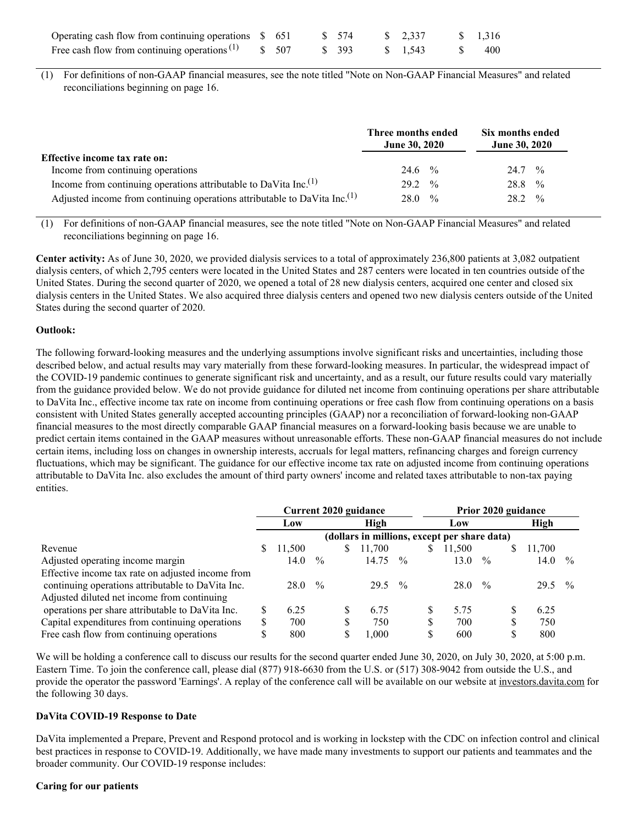| Operating cash flow from continuing operations \$ 651  |  | \$ 574 | $\frac{\$}{2.337}$ | \$1,316 |
|--------------------------------------------------------|--|--------|--------------------|---------|
| Free cash flow from continuing operations $(1)$ \$ 507 |  | \$ 393 | $\frac{\$}{1.543}$ | 400     |

(1) For definitions of non-GAAP financial measures, see the note titled "Note on Non-GAAP Financial Measures" and related reconciliations beginning on page 16.

|                                                                                       | Three months ended<br><b>June 30, 2020</b> | Six months ended<br><b>June 30, 2020</b> |
|---------------------------------------------------------------------------------------|--------------------------------------------|------------------------------------------|
| Effective income tax rate on:                                                         |                                            |                                          |
| Income from continuing operations                                                     | 24.6 $\frac{9}{6}$                         | $24.7 \frac{9}{6}$                       |
| Income from continuing operations attributable to DaVita Inc. <sup>(1)</sup>          | $29.2 \frac{6}{6}$                         | $\frac{0}{0}$<br>28.8                    |
| Adjusted income from continuing operations attributable to DaVita Inc. <sup>(1)</sup> | $28.0\frac{6}{6}$                          | $\frac{0}{0}$<br>28.2                    |

(1) For definitions of non-GAAP financial measures, see the note titled "Note on Non-GAAP Financial Measures" and related reconciliations beginning on page 16.

**Center activity:** As of June 30, 2020, we provided dialysis services to a total of approximately 236,800 patients at 3,082 outpatient dialysis centers, of which 2,795 centers were located in the United States and 287 centers were located in ten countries outside of the United States. During the second quarter of 2020, we opened a total of 28 new dialysis centers, acquired one center and closed six dialysis centers in the United States. We also acquired three dialysis centers and opened two new dialysis centers outside of the United States during the second quarter of 2020.

#### **Outlook:**

The following forward-looking measures and the underlying assumptions involve significant risks and uncertainties, including those described below, and actual results may vary materially from these forward-looking measures. In particular, the widespread impact of the COVID-19 pandemic continues to generate significant risk and uncertainty, and as a result, our future results could vary materially from the guidance provided below. We do not provide guidance for diluted net income from continuing operations per share attributable to DaVita Inc., effective income tax rate on income from continuing operations or free cash flow from continuing operations on a basis consistent with United States generally accepted accounting principles (GAAP) nor a reconciliation of forward-looking non-GAAP financial measures to the most directly comparable GAAP financial measures on a forward-looking basis because we are unable to predict certain items contained in the GAAP measures without unreasonable efforts. These non-GAAP financial measures do not include certain items, including loss on changes in ownership interests, accruals for legal matters, refinancing charges and foreign currency fluctuations, which may be significant. The guidance for our effective income tax rate on adjusted income from continuing operations attributable to DaVita Inc. also excludes the amount of third party owners' income and related taxes attributable to non-tax paying entities.

|                                                   | Current 2020 guidance |        |               |              |                                              | Prior 2020 guidance |     |        |               |    |        |               |
|---------------------------------------------------|-----------------------|--------|---------------|--------------|----------------------------------------------|---------------------|-----|--------|---------------|----|--------|---------------|
|                                                   |                       | Low    |               | High         |                                              |                     | Low |        |               |    | High   |               |
|                                                   |                       |        |               |              | (dollars in millions, except per share data) |                     |     |        |               |    |        |               |
| Revenue                                           | S                     | 11,500 |               | <sup>S</sup> | 11,700                                       |                     | S   | 11,500 |               | S. | 11,700 |               |
| Adjusted operating income margin                  |                       | 14.0   | $\frac{0}{0}$ |              | 14.75                                        | $\frac{0}{0}$       |     | 13.0   | $\frac{0}{0}$ |    | 14.0   | $\frac{0}{0}$ |
| Effective income tax rate on adjusted income from |                       |        |               |              |                                              |                     |     |        |               |    |        |               |
| continuing operations attributable to DaVita Inc. |                       | 28.0   | $\frac{0}{0}$ |              | 29.5                                         | $\frac{0}{0}$       |     | 28.0   | $\frac{0}{0}$ |    | 29.5   | $\frac{0}{0}$ |
| Adjusted diluted net income from continuing       |                       |        |               |              |                                              |                     |     |        |               |    |        |               |
| operations per share attributable to DaVita Inc.  |                       | 6.25   |               |              | 6.75                                         |                     | S   | 5.75   |               | S  | 6.25   |               |
| Capital expenditures from continuing operations   |                       | 700    |               |              | 750                                          |                     | \$  | 700    |               |    | 750    |               |
| Free cash flow from continuing operations         |                       | 800    |               | S            | 1.000                                        |                     | \$  | 600    |               | \$ | 800    |               |

We will be holding a conference call to discuss our results for the second quarter ended June 30, 2020, on July 30, 2020, at 5:00 p.m. Eastern Time. To join the conference call, please dial (877) 918-6630 from the U.S. or (517) 308-9042 from outside the U.S., and provide the operator the password 'Earnings'. A replay of the conference call will be available on our website at investors.davita.com for the following 30 days.

## **DaVita COVID-19 Response to Date**

DaVita implemented a Prepare, Prevent and Respond protocol and is working in lockstep with the CDC on infection control and clinical best practices in response to COVID-19. Additionally, we have made many investments to support our patients and teammates and the broader community. Our COVID-19 response includes:

#### **Caring for our patients**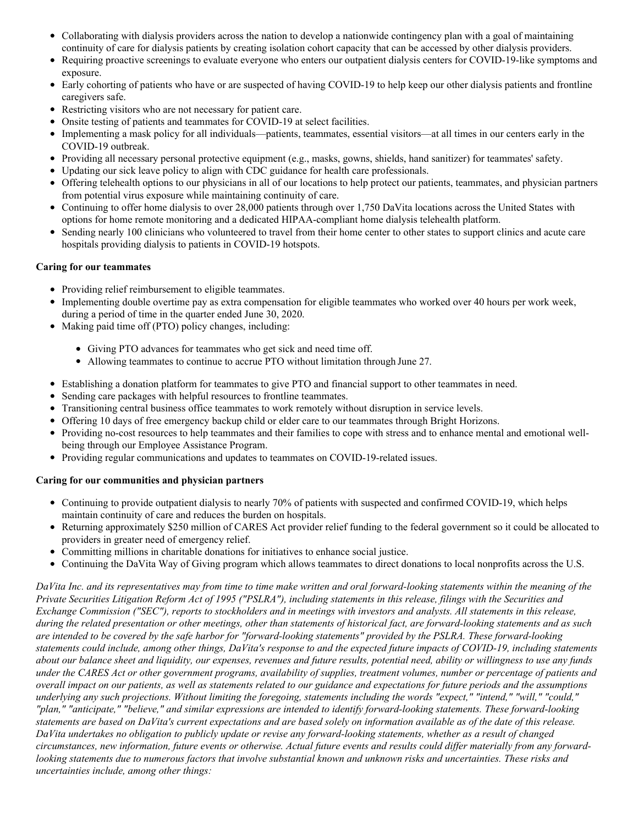- Collaborating with dialysis providers across the nation to develop a nationwide contingency plan with a goal of maintaining continuity of care for dialysis patients by creating isolation cohort capacity that can be accessed by other dialysis providers.
- $\bullet$ Requiring proactive screenings to evaluate everyone who enters our outpatient dialysis centers for COVID-19-like symptoms and exposure.
- Early cohorting of patients who have or are suspected of having COVID-19 to help keep our other dialysis patients and frontline caregivers safe.
- Restricting visitors who are not necessary for patient care.
- Onsite testing of patients and teammates for COVID-19 at select facilities.
- Implementing a mask policy for all individuals—patients, teammates, essential visitors—at all times in our centers early in the COVID-19 outbreak.
- Providing all necessary personal protective equipment (e.g., masks, gowns, shields, hand sanitizer) for teammates' safety.
- Updating our sick leave policy to align with CDC guidance for health care professionals.
- Offering telehealth options to our physicians in all of our locations to help protect our patients, teammates, and physician partners from potential virus exposure while maintaining continuity of care.
- Continuing to offer home dialysis to over 28,000 patients through over 1,750 DaVita locations across the United States with options for home remote monitoring and a dedicated HIPAA-compliant home dialysis telehealth platform.
- Sending nearly 100 clinicians who volunteered to travel from their home center to other states to support clinics and acute care hospitals providing dialysis to patients in COVID-19 hotspots.

# **Caring for our teammates**

- Providing relief reimbursement to eligible teammates.
- Implementing double overtime pay as extra compensation for eligible teammates who worked over 40 hours per work week, during a period of time in the quarter ended June 30, 2020.
- Making paid time off (PTO) policy changes, including:
	- Giving PTO advances for teammates who get sick and need time off.
	- Allowing teammates to continue to accrue PTO without limitation through June 27.
- Establishing a donation platform for teammates to give PTO and financial support to other teammates in need.
- Sending care packages with helpful resources to frontline teammates.
- Transitioning central business office teammates to work remotely without disruption in service levels.
- Offering 10 days of free emergency backup child or elder care to our teammates through Bright Horizons.
- Providing no-cost resources to help teammates and their families to cope with stress and to enhance mental and emotional wellbeing through our Employee Assistance Program.
- Providing regular communications and updates to teammates on COVID-19-related issues.

# **Caring for our communities and physician partners**

- Continuing to provide outpatient dialysis to nearly 70% of patients with suspected and confirmed COVID-19, which helps maintain continuity of care and reduces the burden on hospitals.
- Returning approximately \$250 million of CARES Act provider relief funding to the federal government so it could be allocated to providers in greater need of emergency relief.
- Committing millions in charitable donations for initiatives to enhance social justice.
- Continuing the DaVita Way of Giving program which allows teammates to direct donations to local nonprofits across the U.S.

DaVita Inc. and its representatives may from time to time make written and oral forward-looking statements within the meaning of the Private Securities Litigation Reform Act of 1995 ("PSLRA"), including statements in this release, filings with the Securities and Exchange Commission ("SEC"), reports to stockholders and in meetings with investors and analysts. All statements in this release, during the related presentation or other meetings, other than statements of historical fact, are forward-looking statements and as such are intended to be covered by the safe harbor for "forward-looking statements" provided by the PSLRA. These forward-looking statements could include, among other things, DaVita's response to and the expected future impacts of COVID-19, including statements about our balance sheet and liquidity, our expenses, revenues and future results, potential need, ability or willingness to use any funds under the CARES Act or other government programs, availability of supplies, treatment volumes, number or percentage of patients and overall impact on our patients, as well as statements related to our guidance and expectations for future periods and the assumptions underlying any such projections. Without limiting the foregoing, statements including the words "expect," "intend," "will," "could," "plan," "anticipate," "believe," and similar expressions are intended to identify forward-looking statements. These forward-looking statements are based on DaVita's current expectations and are based solely on information available as of the date of this release. DaVita undertakes no obligation to publicly update or revise any forward-looking statements, whether as a result of changed circumstances, new information, future events or otherwise. Actual future events and results could differ materially from any forwardlooking statements due to numerous factors that involve substantial known and unknown risks and uncertainties. These risks and *uncertainties include, among other things:*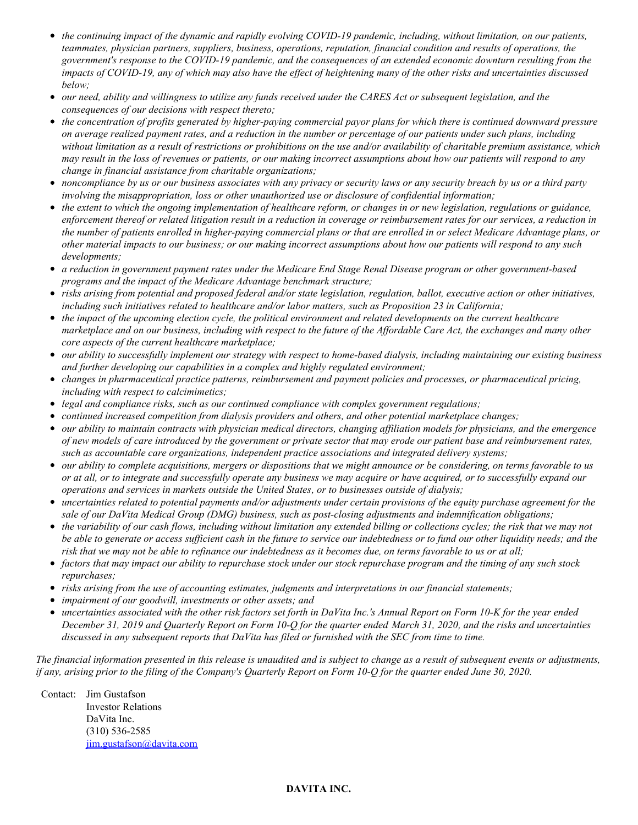- the continuing impact of the dynamic and rapidly evolving COVID-19 pandemic, including, without limitation, on our patients, *teammates, physician partners, suppliers, business, operations, reputation, financial condition and results of operations, the* government's response to the COVID-19 pandemic, and the consequences of an extended economic downturn resulting from the impacts of COVID-19, any of which may also have the effect of heightening many of the other risks and uncertainties discussed *below;*
- our need, ability and willingness to utilize any funds received under the CARES Act or subsequent legislation, and the *consequences of our decisions with respect thereto;*
- the concentration of profits generated by higher-paying commercial payor plans for which there is continued downward pressure on average realized payment rates, and a reduction in the number or percentage of our patients under such plans, including without limitation as a result of restrictions or prohibitions on the use and/or availability of charitable premium assistance, which may result in the loss of revenues or patients, or our making incorrect assumptions about how our patients will respond to any *change in financial assistance from charitable organizations;*
- noncompliance by us or our business associates with any privacy or security laws or any security breach by us or a third party *involving the misappropriation, loss or other unauthorized use or disclosure of confidential information;*
- the extent to which the ongoing implementation of healthcare reform, or changes in or new legislation, regulations or guidance, enforcement thereof or related litigation result in a reduction in coverage or reimbursement rates for our services, a reduction in the number of patients enrolled in higher-paying commercial plans or that are enrolled in or select Medicare Advantage plans, or other material impacts to our business; or our making incorrect assumptions about how our patients will respond to any such *developments;*
- a reduction in government payment rates under the Medicare End Stage Renal Disease program or other government-based *programs and the impact of the Medicare Advantage benchmark structure;*
- risks arising from potential and proposed federal and/or state legislation, regulation, ballot, executive action or other initiatives, *including such initiatives related to healthcare and/or labor matters, such as Proposition 23 in California;*
- the impact of the upcoming election cycle, the political environment and related developments on the current healthcare marketplace and on our business, including with respect to the future of the Affordable Care Act, the exchanges and many other *core aspects of the current healthcare marketplace;*
- our ability to successfully implement our strategy with respect to home-based dialysis, including maintaining our existing business *and further developing our capabilities in a complex and highly regulated environment;*
- *changes in pharmaceutical practice patterns, reimbursement and payment policies and processes, or pharmaceutical pricing, including with respect to calcimimetics;*
- *legal and compliance risks, such as our continued compliance with complex government regulations;*
- *continued increased competition from dialysis providers and others, and other potential marketplace changes;*
- our ability to maintain contracts with physician medical directors, changing affiliation models for physicians, and the emergence of new models of care introduced by the government or private sector that may erode our patient base and reimbursement rates, *such as accountable care organizations, independent practice associations and integrated delivery systems;*
- our ability to complete acquisitions, mergers or dispositions that we might announce or be considering, on terms favorable to us or at all, or to integrate and successfully operate any business we may acquire or have acquired, or to successfully expand our *operations and services in markets outside the United States, or to businesses outside of dialysis;*
- uncertainties related to potential payments and/or adjustments under certain provisions of the equity purchase agreement for the *sale of our DaVita Medical Group (DMG) business, such as post-closing adjustments and indemnification obligations;*
- the variability of our cash flows, including without limitation any extended billing or collections cycles; the risk that we may not be able to generate or access sufficient cash in the future to service our indebtedness or to fund our other liquidity needs; and the risk that we may not be able to refinance our indebtedness as it becomes due, on terms favorable to us or at all;
- factors that may impact our ability to repurchase stock under our stock repurchase program and the timing of any such stock *repurchases;*
- *risks arising from the use of accounting estimates, judgments and interpretations in our financial statements;*
- *impairment of our goodwill, investments or other assets; and*
- uncertainties associated with the other risk factors set forth in DaVita Inc.'s Annual Report on Form 10-K for the year ended December 31, 2019 and Quarterly Report on Form 10-Q for the quarter ended March 31, 2020, and the risks and uncertainties discussed in any subsequent reports that DaVita has filed or furnished with the SEC from time to time.

The financial information presented in this release is unaudited and is subject to change as a result of subsequent events or adjustments, if any, arising prior to the filing of the Company's Quarterly Report on Form 10-Q for the quarter ended June 30, 2020.

Contact: Jim Gustafson Investor Relations DaVita Inc. (310) 536-2585 [jim.gustafson@davita.com](mailto:jim.gustafson@davita.com)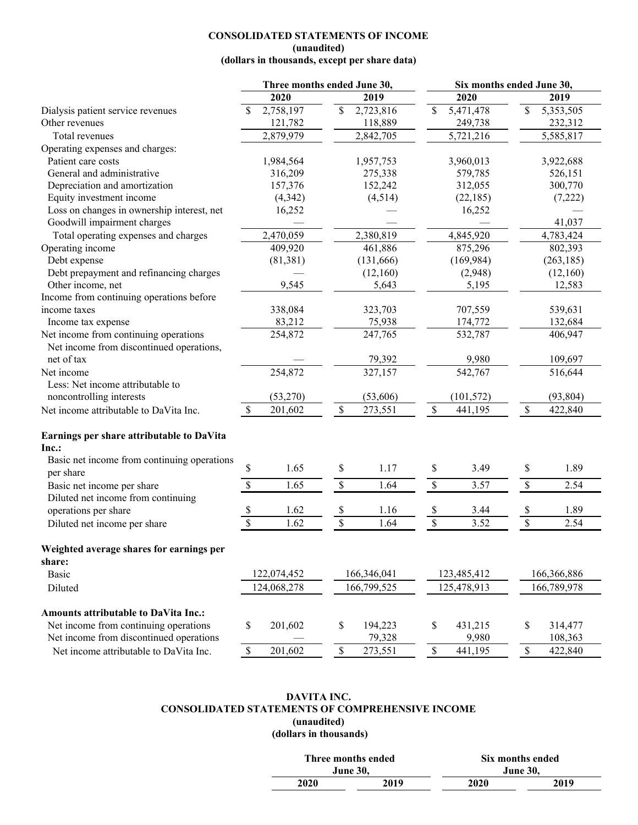## **CONSOLIDATED STATEMENTS OF INCOME (unaudited)**

# **(dollars in thousands, except per share data)**

| 2019<br>2020<br>2020<br>2019<br>$\mathcal{S}$<br>2,758,197<br>\$<br>2,723,816<br>5,471,478<br>\$<br>5,353,505<br>Dialysis patient service revenues<br>Other revenues<br>121,782<br>118,889<br>249,738<br>232,312<br>2,879,979<br>2,842,705<br>5,721,216<br>5,585,817<br>Total revenues<br>Operating expenses and charges:<br>Patient care costs<br>1,984,564<br>1,957,753<br>3,960,013<br>3,922,688<br>275,338<br>316,209<br>579,785<br>526,151<br>General and administrative<br>157,376<br>152,242<br>312,055<br>300,770<br>Depreciation and amortization<br>Equity investment income<br>(4, 514)<br>(4, 342)<br>(22, 185)<br>(7,222)<br>Loss on changes in ownership interest, net<br>16,252<br>16,252<br>Goodwill impairment charges<br>41,037<br>2,470,059<br>2,380,819<br>4,845,920<br>$\overline{4,}783,424$<br>Total operating expenses and charges<br>409,920<br>875,296<br>802,393<br>Operating income<br>461,886<br>(169, 984)<br>Debt expense<br>(81, 381)<br>(131, 666)<br>(263, 185)<br>Debt prepayment and refinancing charges<br>(12,160)<br>(2,948)<br>(12,160)<br>Other income, net<br>9,545<br>5,643<br>5,195<br>12,583<br>Income from continuing operations before<br>income taxes<br>338,084<br>323,703<br>707,559<br>539,631<br>83,212<br>174,772<br>75,938<br>132,684<br>Income tax expense<br>Net income from continuing operations<br>254,872<br>406,947<br>247,765<br>532,787<br>Net income from discontinued operations,<br>net of tax<br>109,697<br>79,392<br>9,980<br>254,872<br>327,157<br>542,767<br>Net income<br>516,644<br>Less: Net income attributable to<br>noncontrolling interests<br>(53,270)<br>(53,606)<br>(101, 572)<br>(93, 804)<br>$\mathbb{S}$<br>$\mathbb{S}$<br>$\mathbb{S}$<br>$\mathcal{S}$<br>201,602<br>273,551<br>441,195<br>422,840<br>Net income attributable to DaVita Inc.<br>Earnings per share attributable to DaVita<br>Inc.:<br>Basic net income from continuing operations |
|-----------------------------------------------------------------------------------------------------------------------------------------------------------------------------------------------------------------------------------------------------------------------------------------------------------------------------------------------------------------------------------------------------------------------------------------------------------------------------------------------------------------------------------------------------------------------------------------------------------------------------------------------------------------------------------------------------------------------------------------------------------------------------------------------------------------------------------------------------------------------------------------------------------------------------------------------------------------------------------------------------------------------------------------------------------------------------------------------------------------------------------------------------------------------------------------------------------------------------------------------------------------------------------------------------------------------------------------------------------------------------------------------------------------------------------------------------------------------------------------------------------------------------------------------------------------------------------------------------------------------------------------------------------------------------------------------------------------------------------------------------------------------------------------------------------------------------------------------------------------------------------------------------------------------------------------|
|                                                                                                                                                                                                                                                                                                                                                                                                                                                                                                                                                                                                                                                                                                                                                                                                                                                                                                                                                                                                                                                                                                                                                                                                                                                                                                                                                                                                                                                                                                                                                                                                                                                                                                                                                                                                                                                                                                                                         |
|                                                                                                                                                                                                                                                                                                                                                                                                                                                                                                                                                                                                                                                                                                                                                                                                                                                                                                                                                                                                                                                                                                                                                                                                                                                                                                                                                                                                                                                                                                                                                                                                                                                                                                                                                                                                                                                                                                                                         |
|                                                                                                                                                                                                                                                                                                                                                                                                                                                                                                                                                                                                                                                                                                                                                                                                                                                                                                                                                                                                                                                                                                                                                                                                                                                                                                                                                                                                                                                                                                                                                                                                                                                                                                                                                                                                                                                                                                                                         |
|                                                                                                                                                                                                                                                                                                                                                                                                                                                                                                                                                                                                                                                                                                                                                                                                                                                                                                                                                                                                                                                                                                                                                                                                                                                                                                                                                                                                                                                                                                                                                                                                                                                                                                                                                                                                                                                                                                                                         |
|                                                                                                                                                                                                                                                                                                                                                                                                                                                                                                                                                                                                                                                                                                                                                                                                                                                                                                                                                                                                                                                                                                                                                                                                                                                                                                                                                                                                                                                                                                                                                                                                                                                                                                                                                                                                                                                                                                                                         |
|                                                                                                                                                                                                                                                                                                                                                                                                                                                                                                                                                                                                                                                                                                                                                                                                                                                                                                                                                                                                                                                                                                                                                                                                                                                                                                                                                                                                                                                                                                                                                                                                                                                                                                                                                                                                                                                                                                                                         |
|                                                                                                                                                                                                                                                                                                                                                                                                                                                                                                                                                                                                                                                                                                                                                                                                                                                                                                                                                                                                                                                                                                                                                                                                                                                                                                                                                                                                                                                                                                                                                                                                                                                                                                                                                                                                                                                                                                                                         |
|                                                                                                                                                                                                                                                                                                                                                                                                                                                                                                                                                                                                                                                                                                                                                                                                                                                                                                                                                                                                                                                                                                                                                                                                                                                                                                                                                                                                                                                                                                                                                                                                                                                                                                                                                                                                                                                                                                                                         |
|                                                                                                                                                                                                                                                                                                                                                                                                                                                                                                                                                                                                                                                                                                                                                                                                                                                                                                                                                                                                                                                                                                                                                                                                                                                                                                                                                                                                                                                                                                                                                                                                                                                                                                                                                                                                                                                                                                                                         |
|                                                                                                                                                                                                                                                                                                                                                                                                                                                                                                                                                                                                                                                                                                                                                                                                                                                                                                                                                                                                                                                                                                                                                                                                                                                                                                                                                                                                                                                                                                                                                                                                                                                                                                                                                                                                                                                                                                                                         |
|                                                                                                                                                                                                                                                                                                                                                                                                                                                                                                                                                                                                                                                                                                                                                                                                                                                                                                                                                                                                                                                                                                                                                                                                                                                                                                                                                                                                                                                                                                                                                                                                                                                                                                                                                                                                                                                                                                                                         |
|                                                                                                                                                                                                                                                                                                                                                                                                                                                                                                                                                                                                                                                                                                                                                                                                                                                                                                                                                                                                                                                                                                                                                                                                                                                                                                                                                                                                                                                                                                                                                                                                                                                                                                                                                                                                                                                                                                                                         |
|                                                                                                                                                                                                                                                                                                                                                                                                                                                                                                                                                                                                                                                                                                                                                                                                                                                                                                                                                                                                                                                                                                                                                                                                                                                                                                                                                                                                                                                                                                                                                                                                                                                                                                                                                                                                                                                                                                                                         |
|                                                                                                                                                                                                                                                                                                                                                                                                                                                                                                                                                                                                                                                                                                                                                                                                                                                                                                                                                                                                                                                                                                                                                                                                                                                                                                                                                                                                                                                                                                                                                                                                                                                                                                                                                                                                                                                                                                                                         |
|                                                                                                                                                                                                                                                                                                                                                                                                                                                                                                                                                                                                                                                                                                                                                                                                                                                                                                                                                                                                                                                                                                                                                                                                                                                                                                                                                                                                                                                                                                                                                                                                                                                                                                                                                                                                                                                                                                                                         |
|                                                                                                                                                                                                                                                                                                                                                                                                                                                                                                                                                                                                                                                                                                                                                                                                                                                                                                                                                                                                                                                                                                                                                                                                                                                                                                                                                                                                                                                                                                                                                                                                                                                                                                                                                                                                                                                                                                                                         |
|                                                                                                                                                                                                                                                                                                                                                                                                                                                                                                                                                                                                                                                                                                                                                                                                                                                                                                                                                                                                                                                                                                                                                                                                                                                                                                                                                                                                                                                                                                                                                                                                                                                                                                                                                                                                                                                                                                                                         |
|                                                                                                                                                                                                                                                                                                                                                                                                                                                                                                                                                                                                                                                                                                                                                                                                                                                                                                                                                                                                                                                                                                                                                                                                                                                                                                                                                                                                                                                                                                                                                                                                                                                                                                                                                                                                                                                                                                                                         |
|                                                                                                                                                                                                                                                                                                                                                                                                                                                                                                                                                                                                                                                                                                                                                                                                                                                                                                                                                                                                                                                                                                                                                                                                                                                                                                                                                                                                                                                                                                                                                                                                                                                                                                                                                                                                                                                                                                                                         |
|                                                                                                                                                                                                                                                                                                                                                                                                                                                                                                                                                                                                                                                                                                                                                                                                                                                                                                                                                                                                                                                                                                                                                                                                                                                                                                                                                                                                                                                                                                                                                                                                                                                                                                                                                                                                                                                                                                                                         |
|                                                                                                                                                                                                                                                                                                                                                                                                                                                                                                                                                                                                                                                                                                                                                                                                                                                                                                                                                                                                                                                                                                                                                                                                                                                                                                                                                                                                                                                                                                                                                                                                                                                                                                                                                                                                                                                                                                                                         |
|                                                                                                                                                                                                                                                                                                                                                                                                                                                                                                                                                                                                                                                                                                                                                                                                                                                                                                                                                                                                                                                                                                                                                                                                                                                                                                                                                                                                                                                                                                                                                                                                                                                                                                                                                                                                                                                                                                                                         |
|                                                                                                                                                                                                                                                                                                                                                                                                                                                                                                                                                                                                                                                                                                                                                                                                                                                                                                                                                                                                                                                                                                                                                                                                                                                                                                                                                                                                                                                                                                                                                                                                                                                                                                                                                                                                                                                                                                                                         |
|                                                                                                                                                                                                                                                                                                                                                                                                                                                                                                                                                                                                                                                                                                                                                                                                                                                                                                                                                                                                                                                                                                                                                                                                                                                                                                                                                                                                                                                                                                                                                                                                                                                                                                                                                                                                                                                                                                                                         |
|                                                                                                                                                                                                                                                                                                                                                                                                                                                                                                                                                                                                                                                                                                                                                                                                                                                                                                                                                                                                                                                                                                                                                                                                                                                                                                                                                                                                                                                                                                                                                                                                                                                                                                                                                                                                                                                                                                                                         |
|                                                                                                                                                                                                                                                                                                                                                                                                                                                                                                                                                                                                                                                                                                                                                                                                                                                                                                                                                                                                                                                                                                                                                                                                                                                                                                                                                                                                                                                                                                                                                                                                                                                                                                                                                                                                                                                                                                                                         |
|                                                                                                                                                                                                                                                                                                                                                                                                                                                                                                                                                                                                                                                                                                                                                                                                                                                                                                                                                                                                                                                                                                                                                                                                                                                                                                                                                                                                                                                                                                                                                                                                                                                                                                                                                                                                                                                                                                                                         |
|                                                                                                                                                                                                                                                                                                                                                                                                                                                                                                                                                                                                                                                                                                                                                                                                                                                                                                                                                                                                                                                                                                                                                                                                                                                                                                                                                                                                                                                                                                                                                                                                                                                                                                                                                                                                                                                                                                                                         |
|                                                                                                                                                                                                                                                                                                                                                                                                                                                                                                                                                                                                                                                                                                                                                                                                                                                                                                                                                                                                                                                                                                                                                                                                                                                                                                                                                                                                                                                                                                                                                                                                                                                                                                                                                                                                                                                                                                                                         |
| \$<br>1.65<br>\$<br>1.17<br>\$<br>\$<br>1.89<br>3.49<br>per share                                                                                                                                                                                                                                                                                                                                                                                                                                                                                                                                                                                                                                                                                                                                                                                                                                                                                                                                                                                                                                                                                                                                                                                                                                                                                                                                                                                                                                                                                                                                                                                                                                                                                                                                                                                                                                                                       |
| $\mathbb S$<br>$\$$<br>\$<br>\$<br>1.65<br>2.54<br>1.64<br>3.57<br>Basic net income per share                                                                                                                                                                                                                                                                                                                                                                                                                                                                                                                                                                                                                                                                                                                                                                                                                                                                                                                                                                                                                                                                                                                                                                                                                                                                                                                                                                                                                                                                                                                                                                                                                                                                                                                                                                                                                                           |
| Diluted net income from continuing                                                                                                                                                                                                                                                                                                                                                                                                                                                                                                                                                                                                                                                                                                                                                                                                                                                                                                                                                                                                                                                                                                                                                                                                                                                                                                                                                                                                                                                                                                                                                                                                                                                                                                                                                                                                                                                                                                      |
| \$<br>\$<br>1.62<br>\$<br>\$<br>1.89<br>operations per share<br>1.16<br>3.44                                                                                                                                                                                                                                                                                                                                                                                                                                                                                                                                                                                                                                                                                                                                                                                                                                                                                                                                                                                                                                                                                                                                                                                                                                                                                                                                                                                                                                                                                                                                                                                                                                                                                                                                                                                                                                                            |
| $\mathbb{S}$<br>\$<br>$\$$<br>$\$$<br>1.62<br>3.52<br>2.54<br>Diluted net income per share<br>1.64                                                                                                                                                                                                                                                                                                                                                                                                                                                                                                                                                                                                                                                                                                                                                                                                                                                                                                                                                                                                                                                                                                                                                                                                                                                                                                                                                                                                                                                                                                                                                                                                                                                                                                                                                                                                                                      |
| Weighted average shares for earnings per                                                                                                                                                                                                                                                                                                                                                                                                                                                                                                                                                                                                                                                                                                                                                                                                                                                                                                                                                                                                                                                                                                                                                                                                                                                                                                                                                                                                                                                                                                                                                                                                                                                                                                                                                                                                                                                                                                |
| share:                                                                                                                                                                                                                                                                                                                                                                                                                                                                                                                                                                                                                                                                                                                                                                                                                                                                                                                                                                                                                                                                                                                                                                                                                                                                                                                                                                                                                                                                                                                                                                                                                                                                                                                                                                                                                                                                                                                                  |
| 122,074,452<br>166,346,041<br>123,485,412<br>166,366,886<br><b>Basic</b>                                                                                                                                                                                                                                                                                                                                                                                                                                                                                                                                                                                                                                                                                                                                                                                                                                                                                                                                                                                                                                                                                                                                                                                                                                                                                                                                                                                                                                                                                                                                                                                                                                                                                                                                                                                                                                                                |
| 124,068,278<br>166,799,525<br>125,478,913<br>166,789,978<br>Diluted                                                                                                                                                                                                                                                                                                                                                                                                                                                                                                                                                                                                                                                                                                                                                                                                                                                                                                                                                                                                                                                                                                                                                                                                                                                                                                                                                                                                                                                                                                                                                                                                                                                                                                                                                                                                                                                                     |
|                                                                                                                                                                                                                                                                                                                                                                                                                                                                                                                                                                                                                                                                                                                                                                                                                                                                                                                                                                                                                                                                                                                                                                                                                                                                                                                                                                                                                                                                                                                                                                                                                                                                                                                                                                                                                                                                                                                                         |
| <b>Amounts attributable to DaVita Inc.:</b>                                                                                                                                                                                                                                                                                                                                                                                                                                                                                                                                                                                                                                                                                                                                                                                                                                                                                                                                                                                                                                                                                                                                                                                                                                                                                                                                                                                                                                                                                                                                                                                                                                                                                                                                                                                                                                                                                             |
| Net income from continuing operations<br>\$<br>\$<br>201,602<br>194,223<br>\$<br>431,215<br>\$<br>314,477                                                                                                                                                                                                                                                                                                                                                                                                                                                                                                                                                                                                                                                                                                                                                                                                                                                                                                                                                                                                                                                                                                                                                                                                                                                                                                                                                                                                                                                                                                                                                                                                                                                                                                                                                                                                                               |
| Net income from discontinued operations<br>108,363<br>79,328<br>9,980                                                                                                                                                                                                                                                                                                                                                                                                                                                                                                                                                                                                                                                                                                                                                                                                                                                                                                                                                                                                                                                                                                                                                                                                                                                                                                                                                                                                                                                                                                                                                                                                                                                                                                                                                                                                                                                                   |
| 201,602<br>$\mathbb S$<br>$\mathbb{S}$<br>$\mathbb S$<br>273,551<br>441,195<br>$\mathbb S$<br>422,840<br>Net income attributable to DaVita Inc.                                                                                                                                                                                                                                                                                                                                                                                                                                                                                                                                                                                                                                                                                                                                                                                                                                                                                                                                                                                                                                                                                                                                                                                                                                                                                                                                                                                                                                                                                                                                                                                                                                                                                                                                                                                         |

## **DAVITA INC. CONSOLIDATED STATEMENTS OF COMPREHENSIVE INCOME (unaudited) (dollars in thousands)**

| Three months ended |                 | Six months ended |      |  |  |  |
|--------------------|-----------------|------------------|------|--|--|--|
|                    | <b>June 30.</b> | June 30.         |      |  |  |  |
| 2020               | 2019            | 2020             | 2019 |  |  |  |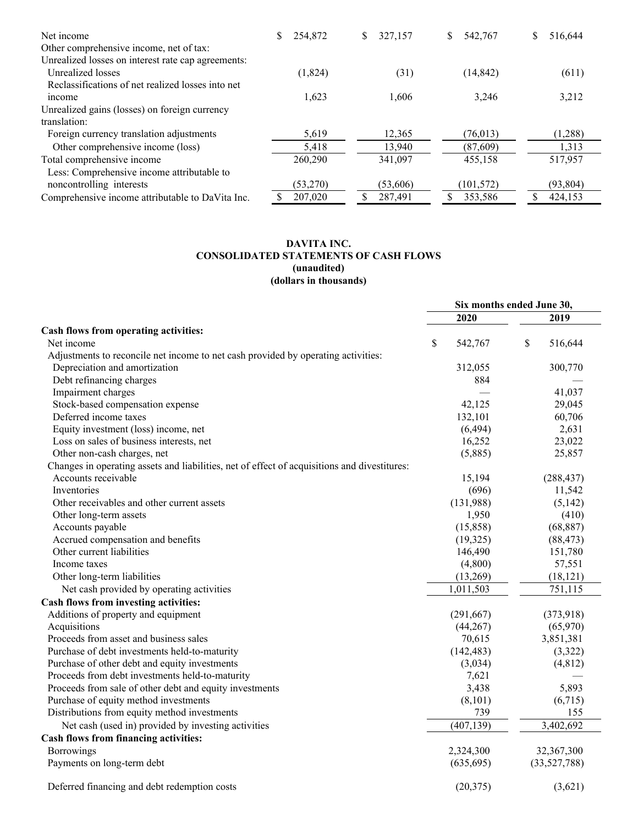| Net income                                                                                    | 254,872<br>S | 327,157<br>\$ | 542,767<br>S. | \$<br>516.644 |
|-----------------------------------------------------------------------------------------------|--------------|---------------|---------------|---------------|
| Other comprehensive income, net of tax:<br>Unrealized losses on interest rate cap agreements: |              |               |               |               |
| Unrealized losses                                                                             | (1,824)      | (31)          | (14, 842)     | (611)         |
| Reclassifications of net realized losses into net                                             |              |               |               |               |
| income                                                                                        | 1,623        | 1,606         | 3.246         | 3,212         |
| Unrealized gains (losses) on foreign currency                                                 |              |               |               |               |
| translation:                                                                                  |              |               |               |               |
| Foreign currency translation adjustments                                                      | 5,619        | 12,365        | (76, 013)     | (1,288)       |
| Other comprehensive income (loss)                                                             | 5,418        | 13,940        | (87, 609)     | 1,313         |
| Total comprehensive income                                                                    | 260,290      | 341,097       | 455,158       | 517,957       |
| Less: Comprehensive income attributable to                                                    |              |               |               |               |
| noncontrolling interests                                                                      | (53,270)     | (53,606)      | (101, 572)    | (93, 804)     |
| Comprehensive income attributable to DaVita Inc.                                              | 207,020      | 287,491       | 353,586       | 424,153       |

# **DAVITA INC. CONSOLIDATED STATEMENTS OF CASH FLOWS (unaudited) (dollars in thousands)**

| 2020<br>Cash flows from operating activities:<br>\$<br>Net income<br>542,767<br>Adjustments to reconcile net income to net cash provided by operating activities:<br>Depreciation and amortization<br>312,055<br>Debt refinancing charges<br>884<br>Impairment charges<br>42,125<br>Stock-based compensation expense<br>Deferred income taxes<br>132,101<br>(6, 494)<br>Equity investment (loss) income, net<br>Loss on sales of business interests, net<br>16,252<br>Other non-cash charges, net<br>(5,885)<br>Changes in operating assets and liabilities, net of effect of acquisitions and divestitures:<br>Accounts receivable<br>15,194<br>Inventories<br>(696)<br>Other receivables and other current assets<br>(131,988)<br>Other long-term assets<br>1,950 | 2019<br>\$<br>516,644<br>300,770<br>41,037<br>29,045 |
|---------------------------------------------------------------------------------------------------------------------------------------------------------------------------------------------------------------------------------------------------------------------------------------------------------------------------------------------------------------------------------------------------------------------------------------------------------------------------------------------------------------------------------------------------------------------------------------------------------------------------------------------------------------------------------------------------------------------------------------------------------------------|------------------------------------------------------|
|                                                                                                                                                                                                                                                                                                                                                                                                                                                                                                                                                                                                                                                                                                                                                                     |                                                      |
|                                                                                                                                                                                                                                                                                                                                                                                                                                                                                                                                                                                                                                                                                                                                                                     |                                                      |
|                                                                                                                                                                                                                                                                                                                                                                                                                                                                                                                                                                                                                                                                                                                                                                     |                                                      |
|                                                                                                                                                                                                                                                                                                                                                                                                                                                                                                                                                                                                                                                                                                                                                                     |                                                      |
|                                                                                                                                                                                                                                                                                                                                                                                                                                                                                                                                                                                                                                                                                                                                                                     |                                                      |
|                                                                                                                                                                                                                                                                                                                                                                                                                                                                                                                                                                                                                                                                                                                                                                     |                                                      |
|                                                                                                                                                                                                                                                                                                                                                                                                                                                                                                                                                                                                                                                                                                                                                                     |                                                      |
|                                                                                                                                                                                                                                                                                                                                                                                                                                                                                                                                                                                                                                                                                                                                                                     |                                                      |
|                                                                                                                                                                                                                                                                                                                                                                                                                                                                                                                                                                                                                                                                                                                                                                     | 60,706                                               |
|                                                                                                                                                                                                                                                                                                                                                                                                                                                                                                                                                                                                                                                                                                                                                                     | 2,631                                                |
|                                                                                                                                                                                                                                                                                                                                                                                                                                                                                                                                                                                                                                                                                                                                                                     | 23,022                                               |
|                                                                                                                                                                                                                                                                                                                                                                                                                                                                                                                                                                                                                                                                                                                                                                     | 25,857                                               |
|                                                                                                                                                                                                                                                                                                                                                                                                                                                                                                                                                                                                                                                                                                                                                                     |                                                      |
|                                                                                                                                                                                                                                                                                                                                                                                                                                                                                                                                                                                                                                                                                                                                                                     | (288, 437)                                           |
|                                                                                                                                                                                                                                                                                                                                                                                                                                                                                                                                                                                                                                                                                                                                                                     | 11,542                                               |
|                                                                                                                                                                                                                                                                                                                                                                                                                                                                                                                                                                                                                                                                                                                                                                     | (5,142)                                              |
|                                                                                                                                                                                                                                                                                                                                                                                                                                                                                                                                                                                                                                                                                                                                                                     | (410)                                                |
| Accounts payable<br>(15,858)                                                                                                                                                                                                                                                                                                                                                                                                                                                                                                                                                                                                                                                                                                                                        | (68, 887)                                            |
| Accrued compensation and benefits<br>(19,325)                                                                                                                                                                                                                                                                                                                                                                                                                                                                                                                                                                                                                                                                                                                       | (88, 473)                                            |
| Other current liabilities<br>146,490                                                                                                                                                                                                                                                                                                                                                                                                                                                                                                                                                                                                                                                                                                                                | 151,780                                              |
| (4,800)<br>Income taxes                                                                                                                                                                                                                                                                                                                                                                                                                                                                                                                                                                                                                                                                                                                                             | 57,551                                               |
| (13,269)<br>Other long-term liabilities                                                                                                                                                                                                                                                                                                                                                                                                                                                                                                                                                                                                                                                                                                                             | (18, 121)                                            |
| Net cash provided by operating activities<br>1,011,503                                                                                                                                                                                                                                                                                                                                                                                                                                                                                                                                                                                                                                                                                                              | 751,115                                              |
| Cash flows from investing activities:                                                                                                                                                                                                                                                                                                                                                                                                                                                                                                                                                                                                                                                                                                                               |                                                      |
| Additions of property and equipment<br>(291, 667)                                                                                                                                                                                                                                                                                                                                                                                                                                                                                                                                                                                                                                                                                                                   | (373,918)                                            |
| Acquisitions<br>(44, 267)                                                                                                                                                                                                                                                                                                                                                                                                                                                                                                                                                                                                                                                                                                                                           | (65,970)                                             |
| Proceeds from asset and business sales<br>70,615                                                                                                                                                                                                                                                                                                                                                                                                                                                                                                                                                                                                                                                                                                                    | 3,851,381                                            |
| (142, 483)<br>Purchase of debt investments held-to-maturity                                                                                                                                                                                                                                                                                                                                                                                                                                                                                                                                                                                                                                                                                                         | (3,322)                                              |
| (3,034)<br>Purchase of other debt and equity investments                                                                                                                                                                                                                                                                                                                                                                                                                                                                                                                                                                                                                                                                                                            | (4, 812)                                             |
| Proceeds from debt investments held-to-maturity<br>7,621                                                                                                                                                                                                                                                                                                                                                                                                                                                                                                                                                                                                                                                                                                            |                                                      |
| Proceeds from sale of other debt and equity investments<br>3,438                                                                                                                                                                                                                                                                                                                                                                                                                                                                                                                                                                                                                                                                                                    | 5,893                                                |
| Purchase of equity method investments<br>(8, 101)                                                                                                                                                                                                                                                                                                                                                                                                                                                                                                                                                                                                                                                                                                                   | (6,715)                                              |
| Distributions from equity method investments<br>739                                                                                                                                                                                                                                                                                                                                                                                                                                                                                                                                                                                                                                                                                                                 | 155                                                  |
| (407, 139)<br>Net cash (used in) provided by investing activities                                                                                                                                                                                                                                                                                                                                                                                                                                                                                                                                                                                                                                                                                                   | 3,402,692                                            |
| Cash flows from financing activities:                                                                                                                                                                                                                                                                                                                                                                                                                                                                                                                                                                                                                                                                                                                               |                                                      |
| <b>Borrowings</b><br>2,324,300                                                                                                                                                                                                                                                                                                                                                                                                                                                                                                                                                                                                                                                                                                                                      | 32,367,300                                           |
| Payments on long-term debt<br>(635, 695)                                                                                                                                                                                                                                                                                                                                                                                                                                                                                                                                                                                                                                                                                                                            |                                                      |
| Deferred financing and debt redemption costs<br>(20, 375)                                                                                                                                                                                                                                                                                                                                                                                                                                                                                                                                                                                                                                                                                                           | (33,527,788)                                         |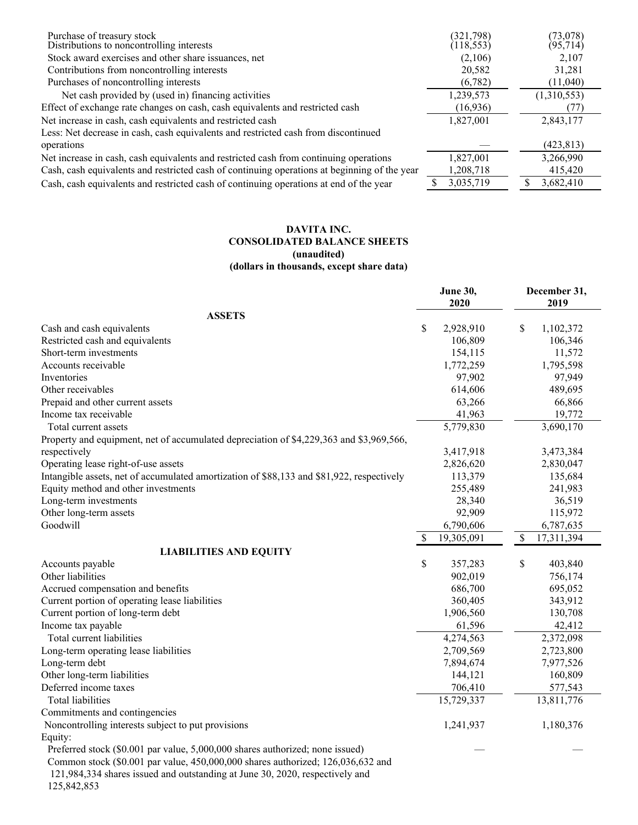| Purchase of treasury stock                                                                   | (321,798)  | (73,078)    |
|----------------------------------------------------------------------------------------------|------------|-------------|
| Distributions to noncontrolling interests                                                    | (118, 553) | (95, 714)   |
| Stock award exercises and other share issuances, net                                         | (2,106)    | 2.107       |
| Contributions from noncontrolling interests                                                  | 20,582     | 31,281      |
| Purchases of noncontrolling interests                                                        | (6,782)    | (11,040)    |
| Net cash provided by (used in) financing activities                                          | 1,239,573  | (1,310,553) |
| Effect of exchange rate changes on cash, cash equivalents and restricted cash                | (16,936)   | (77)        |
| Net increase in cash, cash equivalents and restricted cash                                   | 1,827,001  | 2,843,177   |
| Less: Net decrease in cash, cash equivalents and restricted cash from discontinued           |            |             |
| operations                                                                                   |            | (423, 813)  |
| Net increase in cash, cash equivalents and restricted cash from continuing operations        | 1,827,001  | 3,266,990   |
| Cash, cash equivalents and restricted cash of continuing operations at beginning of the year | 1,208,718  | 415,420     |
| Cash, cash equivalents and restricted cash of continuing operations at end of the year       | 3,035,719  | 3,682,410   |

# **DAVITA INC. CONSOLIDATED BALANCE SHEETS (unaudited) (dollars in thousands, except share data)**

|                                                                                                                                                                 |              | <b>June 30,</b> | December 31,     |
|-----------------------------------------------------------------------------------------------------------------------------------------------------------------|--------------|-----------------|------------------|
| <b>ASSETS</b>                                                                                                                                                   |              | 2020            | 2019             |
| Cash and cash equivalents                                                                                                                                       | \$           | 2,928,910       | \$<br>1,102,372  |
| Restricted cash and equivalents                                                                                                                                 |              | 106,809         | 106,346          |
| Short-term investments                                                                                                                                          |              | 154,115         | 11,572           |
| Accounts receivable                                                                                                                                             |              | 1,772,259       | 1,795,598        |
| Inventories                                                                                                                                                     |              | 97,902          | 97,949           |
| Other receivables                                                                                                                                               |              | 614,606         | 489,695          |
| Prepaid and other current assets                                                                                                                                |              | 63,266          | 66,866           |
| Income tax receivable                                                                                                                                           |              | 41,963          | 19,772           |
|                                                                                                                                                                 |              | 5,779,830       |                  |
| Total current assets                                                                                                                                            |              |                 | 3,690,170        |
| Property and equipment, net of accumulated depreciation of \$4,229,363 and \$3,969,566,                                                                         |              |                 |                  |
| respectively                                                                                                                                                    |              | 3,417,918       | 3,473,384        |
| Operating lease right-of-use assets                                                                                                                             |              | 2,826,620       | 2,830,047        |
| Intangible assets, net of accumulated amortization of \$88,133 and \$81,922, respectively                                                                       |              | 113,379         | 135,684          |
| Equity method and other investments                                                                                                                             |              | 255,489         | 241,983          |
| Long-term investments                                                                                                                                           |              | 28,340          | 36,519           |
| Other long-term assets                                                                                                                                          |              | 92,909          | 115,972          |
| Goodwill                                                                                                                                                        |              | 6,790,606       | 6,787,635        |
|                                                                                                                                                                 | $\mathbb{S}$ | 19,305,091      | \$<br>17,311,394 |
| <b>LIABILITIES AND EQUITY</b>                                                                                                                                   |              |                 |                  |
| Accounts payable                                                                                                                                                | \$           | 357,283         | \$<br>403,840    |
| Other liabilities                                                                                                                                               |              | 902,019         | 756,174          |
| Accrued compensation and benefits                                                                                                                               |              | 686,700         | 695,052          |
| Current portion of operating lease liabilities                                                                                                                  |              | 360,405         | 343,912          |
| Current portion of long-term debt                                                                                                                               |              | 1,906,560       | 130,708          |
| Income tax payable                                                                                                                                              |              | 61,596          | 42,412           |
| Total current liabilities                                                                                                                                       |              | 4,274,563       | 2,372,098        |
| Long-term operating lease liabilities                                                                                                                           |              | 2,709,569       | 2,723,800        |
| Long-term debt                                                                                                                                                  |              | 7,894,674       | 7,977,526        |
| Other long-term liabilities                                                                                                                                     |              | 144,121         | 160,809          |
| Deferred income taxes                                                                                                                                           |              | 706,410         | 577,543          |
| <b>Total liabilities</b>                                                                                                                                        |              | 15,729,337      | 13,811,776       |
| Commitments and contingencies                                                                                                                                   |              |                 |                  |
| Noncontrolling interests subject to put provisions                                                                                                              |              | 1,241,937       | 1,180,376        |
| Equity:                                                                                                                                                         |              |                 |                  |
| Preferred stock (\$0.001 par value, 5,000,000 shares authorized; none issued)                                                                                   |              |                 |                  |
|                                                                                                                                                                 |              |                 |                  |
|                                                                                                                                                                 |              |                 |                  |
| Common stock (\$0.001 par value, 450,000,000 shares authorized; 126,036,632 and<br>121,984,334 shares issued and outstanding at June 30, 2020, respectively and |              |                 |                  |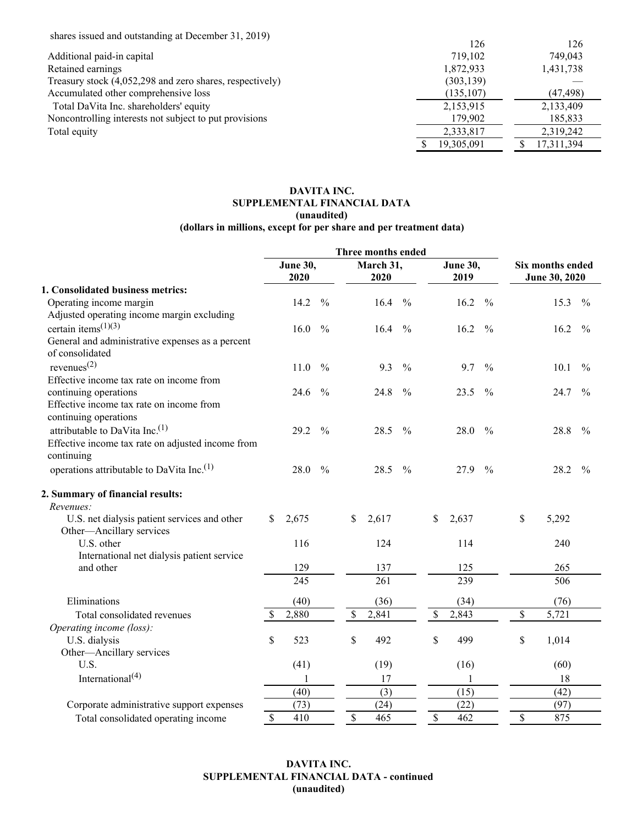| shares issued and outstanding at December 31, 2019) |
|-----------------------------------------------------|
|-----------------------------------------------------|

| $\frac{1}{2}$ and $\frac{1}{2}$ and $\frac{1}{2}$ and $\frac{1}{2}$ are $\frac{1}{2}$ and $\frac{1}{2}$ are $\frac{1}{2}$ and $\frac{1}{2}$ are $\frac{1}{2}$ and $\frac{1}{2}$ are $\frac{1}{2}$ and $\frac{1}{2}$ are $\frac{1}{2}$ are $\frac{1}{2}$ and $\frac{1}{2}$ are $\frac{1}{2}$ a | 126        | 126        |
|-----------------------------------------------------------------------------------------------------------------------------------------------------------------------------------------------------------------------------------------------------------------------------------------------|------------|------------|
| Additional paid-in capital                                                                                                                                                                                                                                                                    | 719.102    | 749,043    |
| Retained earnings                                                                                                                                                                                                                                                                             | 1,872,933  | 1,431,738  |
| Treasury stock (4,052,298 and zero shares, respectively)                                                                                                                                                                                                                                      | (303, 139) |            |
| Accumulated other comprehensive loss                                                                                                                                                                                                                                                          | (135, 107) | (47, 498)  |
| Total DaVita Inc. shareholders' equity                                                                                                                                                                                                                                                        | 2,153,915  | 2,133,409  |
| Noncontrolling interests not subject to put provisions                                                                                                                                                                                                                                        | 179,902    | 185,833    |
| Total equity                                                                                                                                                                                                                                                                                  | 2,333,817  | 2,319,242  |
|                                                                                                                                                                                                                                                                                               | 19,305,091 | 17,311,394 |

# **DAVITA INC. SUPPLEMENTAL FINANCIAL DATA (unaudited) (dollars in millions, except for per share and per treatment data)**

|                                                       |                         |               | <b>Three months ended</b> |               |                         |               |                                   |       |               |
|-------------------------------------------------------|-------------------------|---------------|---------------------------|---------------|-------------------------|---------------|-----------------------------------|-------|---------------|
|                                                       | <b>June 30,</b><br>2020 |               | March 31,<br>2020         |               | <b>June 30,</b><br>2019 |               | Six months ended<br>June 30, 2020 |       |               |
| 1. Consolidated business metrics:                     |                         |               |                           |               |                         |               |                                   |       |               |
| Operating income margin                               | 14.2                    | $\frac{0}{0}$ | 16.4                      | $\frac{0}{0}$ | 16.2                    | $\frac{0}{0}$ |                                   | 15.3  | $\frac{0}{0}$ |
| Adjusted operating income margin excluding            |                         |               |                           |               |                         |               |                                   |       |               |
| certain items <sup><math>(1)(3)</math></sup>          | 16.0                    | $\frac{0}{0}$ | 16.4                      | $\frac{0}{0}$ | 16.2                    | $\frac{0}{0}$ |                                   | 16.2  | $\frac{0}{0}$ |
| General and administrative expenses as a percent      |                         |               |                           |               |                         |               |                                   |       |               |
| of consolidated                                       |                         |               |                           |               |                         |               |                                   |       |               |
| revenues $^{(2)}$                                     | 11.0                    | $\frac{0}{0}$ | 9.3                       | $\frac{0}{0}$ | 9.7                     | $\frac{0}{0}$ |                                   | 10.1  | $\frac{0}{0}$ |
| Effective income tax rate on income from              |                         |               |                           |               |                         |               |                                   |       |               |
| continuing operations                                 | 24.6                    | $\frac{0}{0}$ | 24.8                      | $\frac{0}{0}$ | 23.5                    | $\frac{0}{0}$ |                                   | 24.7  | $\frac{0}{0}$ |
| Effective income tax rate on income from              |                         |               |                           |               |                         |               |                                   |       |               |
| continuing operations                                 |                         |               |                           |               |                         |               |                                   |       |               |
| attributable to DaVita Inc. <sup>(1)</sup>            | 29.2                    | $\frac{0}{0}$ | 28.5                      | $\frac{0}{0}$ | 28.0                    | $\frac{0}{0}$ |                                   | 28.8  | $\frac{0}{0}$ |
| Effective income tax rate on adjusted income from     |                         |               |                           |               |                         |               |                                   |       |               |
| continuing                                            |                         |               |                           |               |                         |               |                                   |       |               |
| operations attributable to DaVita Inc. <sup>(1)</sup> | 28.0                    | $\frac{0}{0}$ | 28.5                      | $\frac{0}{0}$ | 27.9                    | $\frac{0}{0}$ |                                   | 28.2  | $\frac{0}{0}$ |
| 2. Summary of financial results:                      |                         |               |                           |               |                         |               |                                   |       |               |
| Revenues:                                             |                         |               |                           |               |                         |               |                                   |       |               |
| U.S. net dialysis patient services and other          | 2,675<br>$\mathbb{S}$   |               | \$<br>2,617               |               | $\mathbb{S}$<br>2,637   |               | \$                                | 5,292 |               |
| Other-Ancillary services                              |                         |               |                           |               |                         |               |                                   |       |               |
| U.S. other                                            | 116                     |               | 124                       |               | 114                     |               |                                   | 240   |               |
| International net dialysis patient service            |                         |               |                           |               |                         |               |                                   |       |               |
| and other                                             | 129                     |               | 137                       |               | 125                     |               |                                   | 265   |               |
|                                                       | 245                     |               | 261                       |               | 239                     |               |                                   | 506   |               |
| Eliminations                                          | (40)                    |               | (36)                      |               | (34)                    |               |                                   | (76)  |               |
| Total consolidated revenues                           | 2,880                   |               | $\mathbb S$<br>2,841      |               | $\mathbb{S}$<br>2,843   |               | \$                                | 5,721 |               |
| Operating income (loss):                              |                         |               |                           |               |                         |               |                                   |       |               |
| U.S. dialysis                                         | \$<br>523               |               | \$<br>492                 |               | \$<br>499               |               | \$                                | 1,014 |               |
| Other-Ancillary services                              |                         |               |                           |               |                         |               |                                   |       |               |
| U.S.                                                  | (41)                    |               | (19)                      |               | (16)                    |               |                                   | (60)  |               |
| International <sup>(4)</sup>                          | 1                       |               | 17                        |               | 1                       |               |                                   | 18    |               |
|                                                       | (40)                    |               | $\overline{(3)}$          |               | (15)                    |               |                                   | (42)  |               |
| Corporate administrative support expenses             | (73)                    |               | (24)                      |               | (22)                    |               |                                   | (97)  |               |
| Total consolidated operating income                   | $\mathbb{S}$<br>410     |               | \$<br>465                 |               | $\mathbb{S}$<br>462     |               | \$                                | 875   |               |

# **DAVITA INC. SUPPLEMENTAL FINANCIAL DATA - continued (unaudited)**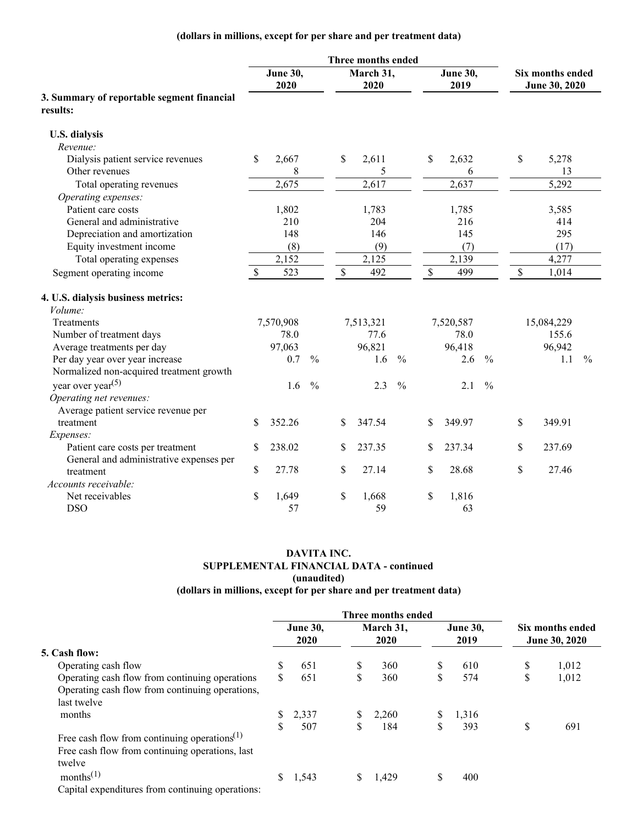# **(dollars in millions, except for per share and per treatment data)**

|                                                        |               |                         |               |              | Three months ended |               |             |                  |               |                                   |               |
|--------------------------------------------------------|---------------|-------------------------|---------------|--------------|--------------------|---------------|-------------|------------------|---------------|-----------------------------------|---------------|
|                                                        |               | <b>June 30,</b><br>2020 |               |              | March 31,<br>2020  |               |             | June 30,<br>2019 |               | Six months ended<br>June 30, 2020 |               |
| 3. Summary of reportable segment financial<br>results: |               |                         |               |              |                    |               |             |                  |               |                                   |               |
| <b>U.S. dialysis</b>                                   |               |                         |               |              |                    |               |             |                  |               |                                   |               |
| Revenue:                                               |               |                         |               |              |                    |               |             |                  |               |                                   |               |
| Dialysis patient service revenues                      | <sup>\$</sup> | 2,667                   |               | \$           | 2,611              |               | \$          | 2,632            |               | \$<br>5,278                       |               |
| Other revenues                                         |               | 8                       |               |              | 5                  |               |             | 6                |               | 13                                |               |
| Total operating revenues                               |               | 2,675                   |               |              | 2,617              |               |             | 2,637            |               | 5,292                             |               |
| Operating expenses:                                    |               |                         |               |              |                    |               |             |                  |               |                                   |               |
| Patient care costs                                     |               | 1,802                   |               |              | 1,783              |               |             | 1,785            |               | 3,585                             |               |
| General and administrative                             |               | 210                     |               |              | 204                |               |             | 216              |               | 414                               |               |
| Depreciation and amortization                          |               | 148                     |               |              | 146                |               |             | 145              |               | 295                               |               |
| Equity investment income                               |               | (8)                     |               |              | (9)                |               |             | (7)              |               | (17)                              |               |
| Total operating expenses                               |               | 2,152                   |               |              | 2,125              |               |             | 2,139            |               | 4,277                             |               |
| Segment operating income                               | $\mathbb{S}$  | 523                     |               | $\mathbb{S}$ | 492                |               | $\mathbb S$ | 499              |               | \$<br>1,014                       |               |
| 4. U.S. dialysis business metrics:                     |               |                         |               |              |                    |               |             |                  |               |                                   |               |
| Volume:                                                |               |                         |               |              |                    |               |             |                  |               |                                   |               |
| <b>Treatments</b>                                      |               | 7,570,908               |               |              | 7,513,321          |               |             | 7,520,587        |               | 15,084,229                        |               |
| Number of treatment days                               |               | 78.0                    |               |              | 77.6               |               |             | 78.0             |               | 155.6                             |               |
| Average treatments per day                             |               | 97,063                  |               |              | 96,821             |               |             | 96,418           |               | 96,942                            |               |
| Per day year over year increase                        |               | 0.7                     | $\frac{0}{0}$ |              | 1.6                | $\frac{0}{0}$ |             | 2.6              | $\frac{0}{0}$ | 1.1                               | $\frac{0}{0}$ |
| Normalized non-acquired treatment growth               |               |                         |               |              |                    |               |             |                  |               |                                   |               |
| year over year <sup><math>(5)</math></sup>             |               | 1.6                     | $\frac{0}{0}$ |              | 2.3                | $\frac{0}{0}$ |             | 2.1              | $\frac{0}{0}$ |                                   |               |
| Operating net revenues:                                |               |                         |               |              |                    |               |             |                  |               |                                   |               |
| Average patient service revenue per                    |               |                         |               |              |                    |               |             |                  |               |                                   |               |
| treatment                                              | <sup>\$</sup> | 352.26                  |               | \$           | 347.54             |               | \$.         | 349.97           |               | \$<br>349.91                      |               |
| Expenses:                                              |               |                         |               |              |                    |               |             |                  |               |                                   |               |
| Patient care costs per treatment                       | \$            | 238.02                  |               | \$           | 237.35             |               | \$          | 237.34           |               | \$<br>237.69                      |               |
| General and administrative expenses per                |               |                         |               |              |                    |               |             |                  |               |                                   |               |
| treatment                                              | $\mathbb{S}$  | 27.78                   |               | \$           | 27.14              |               | \$          | 28.68            |               | \$<br>27.46                       |               |
| Accounts receivable:                                   |               |                         |               |              |                    |               |             |                  |               |                                   |               |
| Net receivables                                        | \$            | 1,649                   |               | \$           | 1,668              |               | \$          | 1,816            |               |                                   |               |
| <b>DSO</b>                                             |               | 57                      |               |              | 59                 |               |             | 63               |               |                                   |               |

# **DAVITA INC. SUPPLEMENTAL FINANCIAL DATA - continued (unaudited)**

# **(dollars in millions, except for per share and per treatment data)**

|                                                                                                                                                                                                                                                                                                                                  |    |                 |    | Three months ended |    |                 |    |                      |
|----------------------------------------------------------------------------------------------------------------------------------------------------------------------------------------------------------------------------------------------------------------------------------------------------------------------------------|----|-----------------|----|--------------------|----|-----------------|----|----------------------|
|                                                                                                                                                                                                                                                                                                                                  |    | <b>June 30,</b> |    | March 31,          |    | <b>June 30,</b> |    | Six months ended     |
|                                                                                                                                                                                                                                                                                                                                  |    | 2020            |    | 2020               |    | 2019            |    | <b>June 30, 2020</b> |
| 5. Cash flow:                                                                                                                                                                                                                                                                                                                    |    |                 |    |                    |    |                 |    |                      |
| Operating cash flow                                                                                                                                                                                                                                                                                                              | S  | 651             | \$ | 360                |    | 610             | \$ | 1,012                |
| Operating cash flow from continuing operations                                                                                                                                                                                                                                                                                   | \$ | 651             | \$ | 360                | \$ | 574             | S  | 1,012                |
| Operating cash flow from continuing operations,                                                                                                                                                                                                                                                                                  |    |                 |    |                    |    |                 |    |                      |
| last twelve                                                                                                                                                                                                                                                                                                                      |    |                 |    |                    |    |                 |    |                      |
| months                                                                                                                                                                                                                                                                                                                           |    | 2,337           | \$ | 2,260              | S. | 1,316           |    |                      |
|                                                                                                                                                                                                                                                                                                                                  | \$ | 507             | \$ | 184                | \$ | 393             | S  | 691                  |
| Free cash flow from continuing operations <sup>(1)</sup>                                                                                                                                                                                                                                                                         |    |                 |    |                    |    |                 |    |                      |
| Free cash flow from continuing operations, last                                                                                                                                                                                                                                                                                  |    |                 |    |                    |    |                 |    |                      |
| twelve                                                                                                                                                                                                                                                                                                                           |    |                 |    |                    |    |                 |    |                      |
| months <sup>(1)</sup>                                                                                                                                                                                                                                                                                                            |    | 1,543           | S  | 1.429              |    | 400             |    |                      |
| $\alpha$ and $\alpha$ and $\alpha$ and $\alpha$ are $\alpha$ and $\alpha$ and $\alpha$ and $\alpha$ and $\alpha$ and $\alpha$ and $\alpha$ and $\alpha$ and $\alpha$ and $\alpha$ and $\alpha$ and $\alpha$ and $\alpha$ and $\alpha$ and $\alpha$ and $\alpha$ and $\alpha$ and $\alpha$ and $\alpha$ and $\alpha$ and $\alpha$ |    |                 |    |                    |    |                 |    |                      |

Capital expenditures from continuing operations: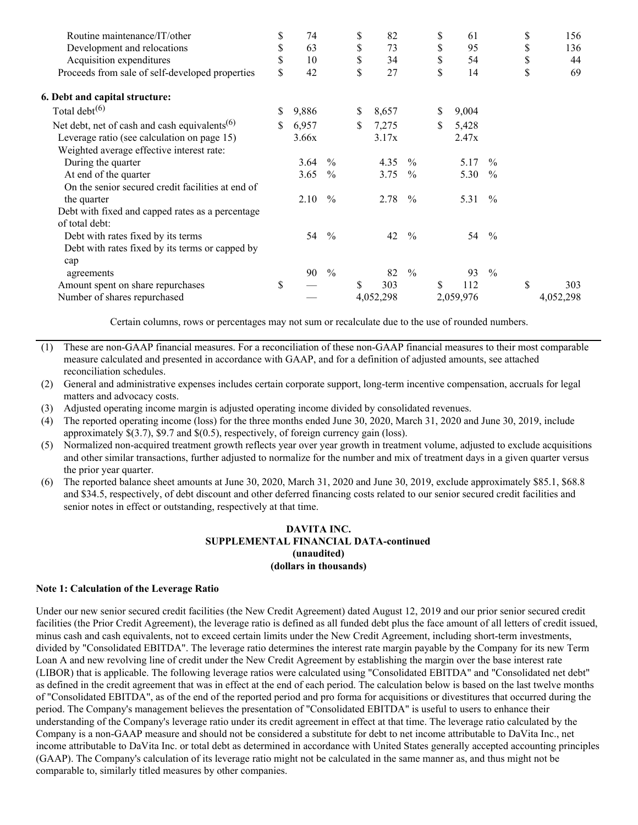| Routine maintenance/IT/other                              | \$ | 74    |               | \$<br>82    |               | \$<br>61    |               | \$<br>156 |
|-----------------------------------------------------------|----|-------|---------------|-------------|---------------|-------------|---------------|-----------|
| Development and relocations                               | \$ | 63    |               | \$<br>73    |               | \$<br>95    |               | \$<br>136 |
| Acquisition expenditures                                  | \$ | 10    |               | \$<br>34    |               | \$<br>54    |               | \$<br>44  |
| Proceeds from sale of self-developed properties           | \$ | 42    |               | \$<br>27    |               | \$<br>14    |               | \$<br>69  |
| 6. Debt and capital structure:                            |    |       |               |             |               |             |               |           |
| Total debt $(6)$                                          | S  | 9,886 |               | \$<br>8,657 |               | \$<br>9,004 |               |           |
| Net debt, net of cash and cash equivalents <sup>(6)</sup> | S. | 6,957 |               | \$<br>7,275 |               | \$<br>5,428 |               |           |
| Leverage ratio (see calculation on page 15)               |    | 3.66x |               | 3.17x       |               | 2.47x       |               |           |
| Weighted average effective interest rate:                 |    |       |               |             |               |             |               |           |
| During the quarter                                        |    | 3.64  | $\frac{0}{0}$ | 4.35        | $\frac{0}{0}$ | 5.17        | $\frac{0}{0}$ |           |
| At end of the quarter                                     |    | 3.65  | $\frac{0}{0}$ | 3.75        | $\%$          | 5.30        | $\frac{0}{0}$ |           |
| On the senior secured credit facilities at end of         |    |       |               |             |               |             |               |           |
| the quarter                                               |    | 2.10  | $\frac{0}{0}$ | 2.78        | $\frac{0}{0}$ | 5.31        | $\frac{0}{0}$ |           |
| Debt with fixed and capped rates as a percentage          |    |       |               |             |               |             |               |           |
| of total debt:                                            |    |       |               |             |               |             |               |           |
| Debt with rates fixed by its terms                        |    | 54    | $\frac{0}{0}$ | 42          | $\frac{0}{0}$ | 54          | $\frac{0}{0}$ |           |
| Debt with rates fixed by its terms or capped by           |    |       |               |             |               |             |               |           |
| cap                                                       |    |       |               |             |               |             |               |           |
| agreements                                                |    | 90    | $\frac{0}{0}$ | 82          | $\frac{0}{0}$ | 93          | $\frac{0}{0}$ |           |
| Amount spent on share repurchases                         | \$ |       |               | \$<br>303   |               | \$<br>112   |               | \$<br>303 |
| Number of shares repurchased                              |    |       |               | 4,052,298   |               | 2,059,976   |               | 4,052,298 |

Certain columns, rows or percentages may not sum or recalculate due to the use of rounded numbers.

- (1) These are non-GAAP financial measures. For a reconciliation of these non-GAAP financial measures to their most comparable measure calculated and presented in accordance with GAAP, and for a definition of adjusted amounts, see attached reconciliation schedules.
- (2) General and administrative expenses includes certain corporate support, long-term incentive compensation, accruals for legal matters and advocacy costs.
- (3) Adjusted operating income margin is adjusted operating income divided by consolidated revenues.
- (4) The reported operating income (loss) for the three months ended June 30, 2020, March 31, 2020 and June 30, 2019, include approximately \$(3.7), \$9.7 and \$(0.5), respectively, of foreign currency gain (loss).
- (5) Normalized non-acquired treatment growth reflects year over year growth in treatment volume, adjusted to exclude acquisitions and other similar transactions, further adjusted to normalize for the number and mix of treatment days in a given quarter versus the prior year quarter.
- (6) The reported balance sheet amounts at June 30, 2020, March 31, 2020 and June 30, 2019, exclude approximately \$85.1, \$68.8 and \$34.5, respectively, of debt discount and other deferred financing costs related to our senior secured credit facilities and senior notes in effect or outstanding, respectively at that time.

## **DAVITA INC. SUPPLEMENTAL FINANCIAL DATA-continued (unaudited) (dollars in thousands)**

## **Note 1: Calculation of the Leverage Ratio**

Under our new senior secured credit facilities (the New Credit Agreement) dated August 12, 2019 and our prior senior secured credit facilities (the Prior Credit Agreement), the leverage ratio is defined as all funded debt plus the face amount of all letters of credit issued, minus cash and cash equivalents, not to exceed certain limits under the New Credit Agreement, including short-term investments, divided by "Consolidated EBITDA". The leverage ratio determines the interest rate margin payable by the Company for its new Term Loan A and new revolving line of credit under the New Credit Agreement by establishing the margin over the base interest rate (LIBOR) that is applicable. The following leverage ratios were calculated using "Consolidated EBITDA" and "Consolidated net debt" as defined in the credit agreement that was in effect at the end of each period. The calculation below is based on the last twelve months of "Consolidated EBITDA", as of the end of the reported period and pro forma for acquisitions or divestitures that occurred during the period. The Company's management believes the presentation of "Consolidated EBITDA" is useful to users to enhance their understanding of the Company's leverage ratio under its credit agreement in effect at that time. The leverage ratio calculated by the Company is a non-GAAP measure and should not be considered a substitute for debt to net income attributable to DaVita Inc., net income attributable to DaVita Inc. or total debt as determined in accordance with United States generally accepted accounting principles (GAAP). The Company's calculation of its leverage ratio might not be calculated in the same manner as, and thus might not be comparable to, similarly titled measures by other companies.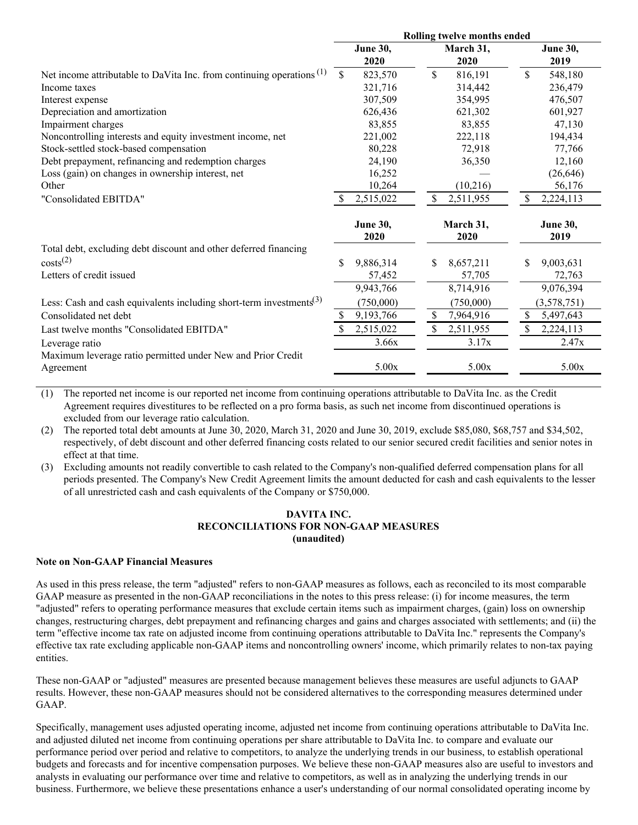|                                                                                 |     |                         |    | Rolling twelve months ended |              |                         |
|---------------------------------------------------------------------------------|-----|-------------------------|----|-----------------------------|--------------|-------------------------|
|                                                                                 |     | <b>June 30,</b><br>2020 |    | March 31,<br>2020           |              | <b>June 30,</b><br>2019 |
| Net income attributable to DaVita Inc. from continuing operations $(1)$         | \$  | 823,570                 | \$ | 816,191                     | \$           | 548,180                 |
| Income taxes                                                                    |     | 321,716                 |    | 314,442                     |              | 236,479                 |
| Interest expense                                                                |     | 307,509                 |    | 354,995                     |              | 476,507                 |
| Depreciation and amortization                                                   |     | 626,436                 |    | 621,302                     |              | 601,927                 |
| Impairment charges                                                              |     | 83,855                  |    | 83,855                      |              | 47,130                  |
| Noncontrolling interests and equity investment income, net                      |     | 221,002                 |    | 222,118                     |              | 194,434                 |
| Stock-settled stock-based compensation                                          |     | 80,228                  |    | 72,918                      |              | 77,766                  |
| Debt prepayment, refinancing and redemption charges                             |     | 24,190                  |    | 36,350                      |              | 12,160                  |
| Loss (gain) on changes in ownership interest, net                               |     | 16,252                  |    |                             |              | (26, 646)               |
| Other                                                                           |     | 10,264                  |    | (10,216)                    |              | 56,176                  |
| "Consolidated EBITDA"                                                           | -S  | 2,515,022               | \$ | 2,511,955                   | S.           | 2,224,113               |
|                                                                                 |     | <b>June 30,</b><br>2020 |    | March 31,<br>2020           |              | <b>June 30,</b><br>2019 |
| Total debt, excluding debt discount and other deferred financing                |     |                         |    |                             |              |                         |
| costs <sup>(2)</sup>                                                            | \$  | 9,886,314               | \$ | 8,657,211                   | \$           | 9,003,631               |
| Letters of credit issued                                                        |     | 57,452                  |    | 57,705                      |              | 72,763                  |
|                                                                                 |     | 9,943,766               |    | 8,714,916                   |              | 9,076,394               |
| Less: Cash and cash equivalents including short-term investments <sup>(3)</sup> |     | (750,000)               |    | (750,000)                   |              | (3,578,751)             |
| Consolidated net debt                                                           | \$. | 9,193,766               | S  | 7,964,916                   | $\mathbb{S}$ | 5,497,643               |
| Last twelve months "Consolidated EBITDA"                                        |     | 2,515,022               | \$ | 2,511,955                   | \$           | 2,224,113               |
| Leverage ratio                                                                  |     | 3.66x                   |    | 3.17x                       |              | 2.47x                   |
| Maximum leverage ratio permitted under New and Prior Credit<br>Agreement        |     | 5.00x                   |    | 5.00x                       |              | 5.00x                   |

(1) The reported net income is our reported net income from continuing operations attributable to DaVita Inc. as the Credit Agreement requires divestitures to be reflected on a pro forma basis, as such net income from discontinued operations is excluded from our leverage ratio calculation.

(2) The reported total debt amounts at June 30, 2020, March 31, 2020 and June 30, 2019, exclude \$85,080, \$68,757 and \$34,502, respectively, of debt discount and other deferred financing costs related to our senior secured credit facilities and senior notes in effect at that time.

(3) Excluding amounts not readily convertible to cash related to the Company's non-qualified deferred compensation plans for all periods presented. The Company's New Credit Agreement limits the amount deducted for cash and cash equivalents to the lesser of all unrestricted cash and cash equivalents of the Company or \$750,000.

## **DAVITA INC. RECONCILIATIONS FOR NON-GAAP MEASURES (unaudited)**

## **Note on Non-GAAP Financial Measures**

As used in this press release, the term "adjusted" refers to non-GAAP measures as follows, each as reconciled to its most comparable GAAP measure as presented in the non-GAAP reconciliations in the notes to this press release: (i) for income measures, the term "adjusted" refers to operating performance measures that exclude certain items such as impairment charges, (gain) loss on ownership changes, restructuring charges, debt prepayment and refinancing charges and gains and charges associated with settlements; and (ii) the term "effective income tax rate on adjusted income from continuing operations attributable to DaVita Inc." represents the Company's effective tax rate excluding applicable non-GAAP items and noncontrolling owners' income, which primarily relates to non-tax paying entities.

These non-GAAP or "adjusted" measures are presented because management believes these measures are useful adjuncts to GAAP results. However, these non-GAAP measures should not be considered alternatives to the corresponding measures determined under GAAP.

Specifically, management uses adjusted operating income, adjusted net income from continuing operations attributable to DaVita Inc. and adjusted diluted net income from continuing operations per share attributable to DaVita Inc. to compare and evaluate our performance period over period and relative to competitors, to analyze the underlying trends in our business, to establish operational budgets and forecasts and for incentive compensation purposes. We believe these non-GAAP measures also are useful to investors and analysts in evaluating our performance over time and relative to competitors, as well as in analyzing the underlying trends in our business. Furthermore, we believe these presentations enhance a user's understanding of our normal consolidated operating income by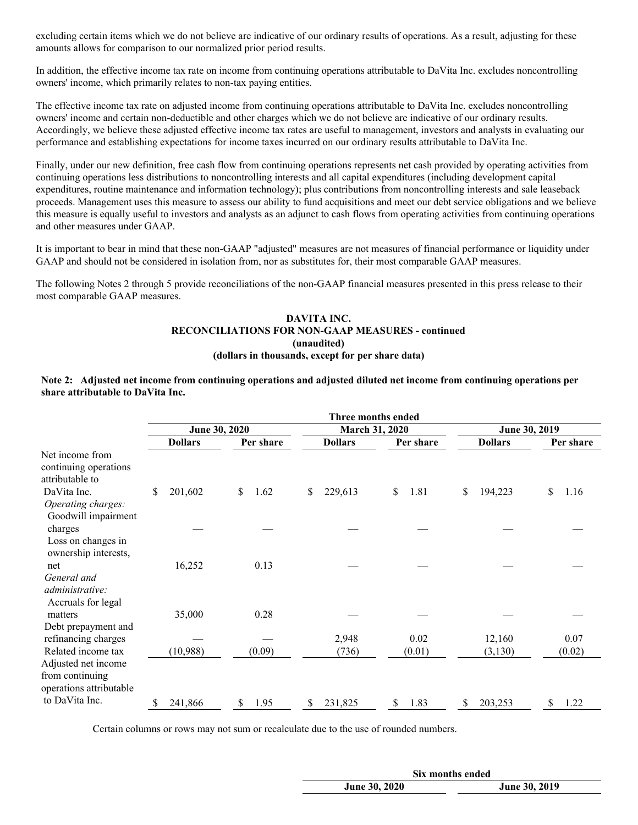excluding certain items which we do not believe are indicative of our ordinary results of operations. As a result, adjusting for these amounts allows for comparison to our normalized prior period results.

In addition, the effective income tax rate on income from continuing operations attributable to DaVita Inc. excludes noncontrolling owners' income, which primarily relates to non-tax paying entities.

The effective income tax rate on adjusted income from continuing operations attributable to DaVita Inc. excludes noncontrolling owners' income and certain non-deductible and other charges which we do not believe are indicative of our ordinary results. Accordingly, we believe these adjusted effective income tax rates are useful to management, investors and analysts in evaluating our performance and establishing expectations for income taxes incurred on our ordinary results attributable to DaVita Inc.

Finally, under our new definition, free cash flow from continuing operations represents net cash provided by operating activities from continuing operations less distributions to noncontrolling interests and all capital expenditures (including development capital expenditures, routine maintenance and information technology); plus contributions from noncontrolling interests and sale leaseback proceeds. Management uses this measure to assess our ability to fund acquisitions and meet our debt service obligations and we believe this measure is equally useful to investors and analysts as an adjunct to cash flows from operating activities from continuing operations and other measures under GAAP.

It is important to bear in mind that these non-GAAP "adjusted" measures are not measures of financial performance or liquidity under GAAP and should not be considered in isolation from, nor as substitutes for, their most comparable GAAP measures.

The following Notes 2 through 5 provide reconciliations of the non-GAAP financial measures presented in this press release to their most comparable GAAP measures.

## **DAVITA INC. RECONCILIATIONS FOR NON-GAAP MEASURES - continued (unaudited) (dollars in thousands, except for per share data)**

#### Note 2: Adjusted net income from continuing operations and adjusted diluted net income from continuing operations per **share attributable to DaVita Inc.**

|                                                                                         |    |                |    |           |    | Three months ended |            |    |                |            |
|-----------------------------------------------------------------------------------------|----|----------------|----|-----------|----|--------------------|------------|----|----------------|------------|
|                                                                                         |    | June 30, 2020  |    |           |    | March 31, 2020     |            |    | June 30, 2019  |            |
|                                                                                         |    | <b>Dollars</b> |    | Per share |    | <b>Dollars</b>     | Per share  |    | <b>Dollars</b> | Per share  |
| Net income from<br>continuing operations<br>attributable to                             |    |                |    |           |    |                    |            |    |                |            |
| DaVita Inc.<br>Operating charges:<br>Goodwill impairment                                | \$ | 201,602        | \$ | 1.62      | \$ | 229,613            | \$<br>1.81 | \$ | 194,223        | \$<br>1.16 |
| charges<br>Loss on changes in<br>ownership interests,                                   |    |                |    |           |    |                    |            |    |                |            |
| net<br>General and<br>administrative:<br>Accruals for legal                             |    | 16,252         |    | 0.13      |    |                    |            |    |                |            |
| matters<br>Debt prepayment and                                                          |    | 35,000         |    | 0.28      |    |                    |            |    |                |            |
| refinancing charges                                                                     |    |                |    |           |    | 2,948              | 0.02       |    | 12,160         | 0.07       |
| Related income tax<br>Adjusted net income<br>from continuing<br>operations attributable |    | (10, 988)      |    | (0.09)    |    | (736)              | (0.01)     |    | (3, 130)       | (0.02)     |
| to DaVita Inc.                                                                          | S  | 241,866        | S  | 1.95      | S  | 231,825            | \$<br>1.83 | S  | 203,253        | \$<br>1.22 |

Certain columns or rows may not sum or recalculate due to the use of rounded numbers.

|                      | Six months ended     |
|----------------------|----------------------|
| <b>June 30, 2020</b> | <b>June 30, 2019</b> |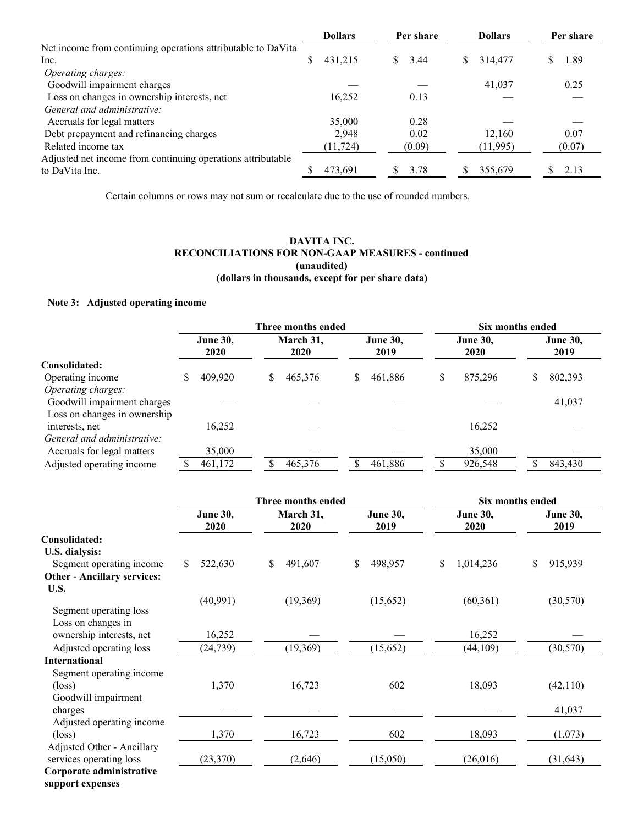|                                                              |    | <b>Dollars</b> |    | Per share |   | <b>Dollars</b> |    | Per share |
|--------------------------------------------------------------|----|----------------|----|-----------|---|----------------|----|-----------|
| Net income from continuing operations attributable to DaVita |    |                |    |           |   |                |    |           |
| Inc.                                                         | S. | 431,215        | S. | 3.44      | S | 314,477        | S. | 1.89      |
| Operating charges:                                           |    |                |    |           |   |                |    |           |
| Goodwill impairment charges                                  |    |                |    |           |   | 41,037         |    | 0.25      |
| Loss on changes in ownership interests, net                  |    | 16,252         |    | 0.13      |   |                |    |           |
| General and administrative:                                  |    |                |    |           |   |                |    |           |
| Accruals for legal matters                                   |    | 35,000         |    | 0.28      |   |                |    |           |
| Debt prepayment and refinancing charges                      |    | 2.948          |    | 0.02      |   | 12.160         |    | 0.07      |
| Related income tax                                           |    | (11, 724)      |    | (0.09)    |   | (11,995)       |    | (0.07)    |
| Adjusted net income from continuing operations attributable  |    |                |    |           |   |                |    |           |
| to DaVita Inc.                                               |    | 473.691        |    | 3.78      |   | 355,679        |    | 2.13      |

Certain columns or rows may not sum or recalculate due to the use of rounded numbers.

# **DAVITA INC. RECONCILIATIONS FOR NON-GAAP MEASURES - continued (unaudited) (dollars in thousands, except for per share data)**

# **Note 3: Adjusted operating income**

|                              |                         |   | Three months ended |   |                         |   | Six months ended        |   |                         |
|------------------------------|-------------------------|---|--------------------|---|-------------------------|---|-------------------------|---|-------------------------|
|                              | <b>June 30,</b><br>2020 |   | March 31,<br>2020  |   | <b>June 30,</b><br>2019 |   | <b>June 30,</b><br>2020 |   | <b>June 30,</b><br>2019 |
| Consolidated:                |                         |   |                    |   |                         |   |                         |   |                         |
| Operating income             | 409,920                 | S | 465,376            | S | 461,886                 | S | 875,296                 | S | 802,393                 |
| Operating charges:           |                         |   |                    |   |                         |   |                         |   |                         |
| Goodwill impairment charges  |                         |   |                    |   |                         |   |                         |   | 41,037                  |
| Loss on changes in ownership |                         |   |                    |   |                         |   |                         |   |                         |
| interests, net               | 16,252                  |   |                    |   |                         |   | 16,252                  |   |                         |
| General and administrative:  |                         |   |                    |   |                         |   |                         |   |                         |
| Accruals for legal matters   | 35,000                  |   |                    |   |                         |   | 35,000                  |   |                         |
| Adjusted operating income    | 461,172                 |   | 465,376            |   | 461,886                 |   | 926,548                 |   | 843,430                 |
|                              |                         |   |                    |   |                         |   |                         |   |                         |

|                                    |                         | Three months ended | Six months ended        |                         |                         |  |
|------------------------------------|-------------------------|--------------------|-------------------------|-------------------------|-------------------------|--|
|                                    | <b>June 30,</b><br>2020 | March 31,<br>2020  | <b>June 30,</b><br>2019 | <b>June 30,</b><br>2020 | <b>June 30,</b><br>2019 |  |
| Consolidated:                      |                         |                    |                         |                         |                         |  |
| U.S. dialysis:                     |                         |                    |                         |                         |                         |  |
| Segment operating income           | \$<br>522,630           | 491,607<br>\$      | 498,957<br>\$           | \$<br>1,014,236         | \$<br>915,939           |  |
| <b>Other - Ancillary services:</b> |                         |                    |                         |                         |                         |  |
| U.S.                               |                         |                    |                         |                         |                         |  |
|                                    | (40,991)                | (19,369)           | (15,652)                | (60, 361)               | (30, 570)               |  |
| Segment operating loss             |                         |                    |                         |                         |                         |  |
| Loss on changes in                 |                         |                    |                         |                         |                         |  |
| ownership interests, net           | 16,252                  |                    |                         | 16,252                  |                         |  |
| Adjusted operating loss            | (24, 739)               | (19, 369)          | (15,652)                | (44, 109)               | (30, 570)               |  |
| <b>International</b>               |                         |                    |                         |                         |                         |  |
| Segment operating income           |                         |                    |                         |                         |                         |  |
| $(\text{loss})$                    | 1,370                   | 16,723             | 602                     | 18,093                  | (42,110)                |  |
| Goodwill impairment                |                         |                    |                         |                         |                         |  |
| charges                            |                         |                    |                         |                         | 41,037                  |  |
| Adjusted operating income          |                         |                    |                         |                         |                         |  |
| $(\text{loss})$                    | 1,370                   | 16,723             | 602                     | 18,093                  | (1,073)                 |  |
| Adjusted Other - Ancillary         |                         |                    |                         |                         |                         |  |
| services operating loss            | (23, 370)               | (2,646)            | (15,050)                | (26,016)                | (31, 643)               |  |
| Corporate administrative           |                         |                    |                         |                         |                         |  |
| support expenses                   |                         |                    |                         |                         |                         |  |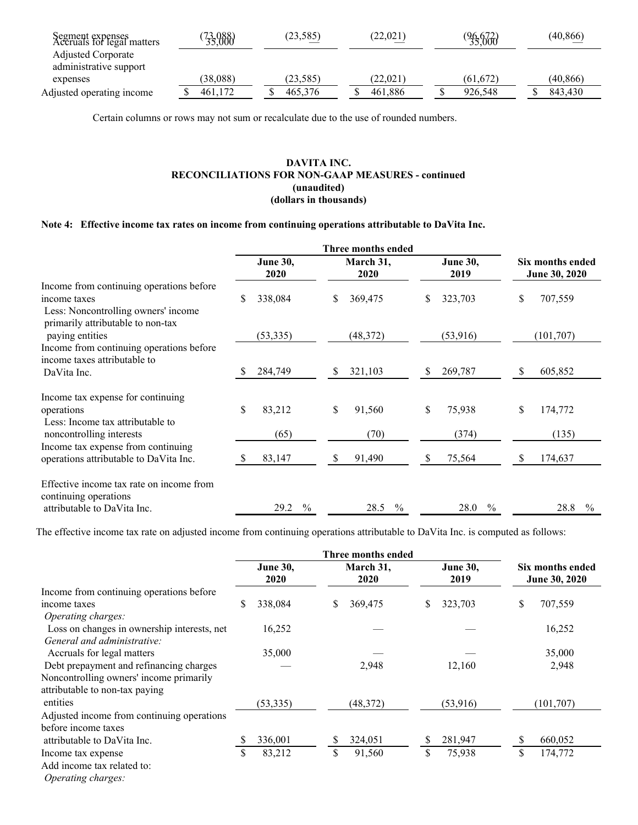| Segment expenses<br>Accruals for legal matters | 73,088)<br>35,000 | (23, 585) | (22,021) | $^{96,672}_{35,000}$ | (40, 866) |
|------------------------------------------------|-------------------|-----------|----------|----------------------|-----------|
| <b>Adjusted Corporate</b>                      |                   |           |          |                      |           |
| administrative support                         |                   |           |          |                      |           |
| expenses                                       | (38.088)          | (23.585)  | (22.021) | (61.672)             | (40.866)  |
| Adjusted operating income                      | 461.172           | 465,376   | 461.886  | 926.548              | 843,430   |
|                                                |                   |           |          |                      |           |

Certain columns or rows may not sum or recalculate due to the use of rounded numbers.

## **DAVITA INC. RECONCILIATIONS FOR NON-GAAP MEASURES - continued (unaudited) (dollars in thousands)**

# **Note 4: Effective income tax rates on income from continuing operations attributable to DaVita Inc.**

|                                                                                                  | <b>June 30,</b><br>2020 | March 31,<br>2020     | <b>June 30,</b><br>2019 | Six months ended<br>June 30, 2020 |
|--------------------------------------------------------------------------------------------------|-------------------------|-----------------------|-------------------------|-----------------------------------|
| Income from continuing operations before<br>income taxes<br>Less: Noncontrolling owners' income  | 338,084<br>\$           | 369,475<br>\$         | \$<br>323,703           | \$<br>707,559                     |
| primarily attributable to non-tax<br>paying entities<br>Income from continuing operations before | (53,335)                | (48, 372)             | (53,916)                | (101, 707)                        |
| income taxes attributable to                                                                     |                         |                       |                         |                                   |
| DaVita Inc.                                                                                      | 284,749                 | \$<br>321,103         | 269,787<br>S            | \$<br>605,852                     |
| Income tax expense for continuing                                                                |                         |                       |                         |                                   |
| operations                                                                                       | \$<br>83,212            | \$<br>91,560          | \$<br>75,938            | \$<br>174,772                     |
| Less: Income tax attributable to<br>noncontrolling interests                                     | (65)                    | (70)                  | (374)                   | (135)                             |
| Income tax expense from continuing<br>operations attributable to DaVita Inc.                     | 83,147                  | 91,490<br>S           | 75,564<br>S             | \$<br>174,637                     |
| Effective income tax rate on income from<br>continuing operations                                |                         |                       |                         |                                   |
| attributable to DaVita Inc.                                                                      | $\frac{0}{0}$<br>29.2   | $\frac{0}{0}$<br>28.5 | $\frac{0}{0}$<br>28.0   | 28.8<br>$\frac{0}{0}$             |

The effective income tax rate on adjusted income from continuing operations attributable to DaVita Inc. is computed as follows:

|                                             | <b>June 30,</b><br>2020 |           | March 31,<br>2020 |           |    | <b>June 30,</b><br>2019 |    | Six months ended<br>June 30, 2020 |  |
|---------------------------------------------|-------------------------|-----------|-------------------|-----------|----|-------------------------|----|-----------------------------------|--|
| Income from continuing operations before    |                         |           |                   |           |    |                         |    |                                   |  |
| income taxes                                |                         | 338,084   | \$                | 369,475   | S  | 323,703                 | \$ | 707,559                           |  |
| Operating charges:                          |                         |           |                   |           |    |                         |    |                                   |  |
| Loss on changes in ownership interests, net |                         | 16,252    |                   |           |    |                         |    | 16,252                            |  |
| General and administrative:                 |                         |           |                   |           |    |                         |    |                                   |  |
| Accruals for legal matters                  |                         | 35,000    |                   |           |    |                         |    | 35,000                            |  |
| Debt prepayment and refinancing charges     |                         |           |                   | 2,948     |    | 12,160                  |    | 2,948                             |  |
| Noncontrolling owners' income primarily     |                         |           |                   |           |    |                         |    |                                   |  |
| attributable to non-tax paying              |                         |           |                   |           |    |                         |    |                                   |  |
| entities                                    |                         | (53, 335) |                   | (48, 372) |    | (53,916)                |    | (101, 707)                        |  |
| Adjusted income from continuing operations  |                         |           |                   |           |    |                         |    |                                   |  |
| before income taxes                         |                         |           |                   |           |    |                         |    |                                   |  |
| attributable to DaVita Inc.                 |                         | 336,001   | \$                | 324,051   | S  | 281,947                 | \$ | 660,052                           |  |
| Income tax expense                          | \$                      | 83,212    | \$                | 91,560    | \$ | 75,938                  | \$ | 174,772                           |  |
| Add income tax related to:                  |                         |           |                   |           |    |                         |    |                                   |  |
|                                             |                         |           |                   |           |    |                         |    |                                   |  |

*Operating charges:*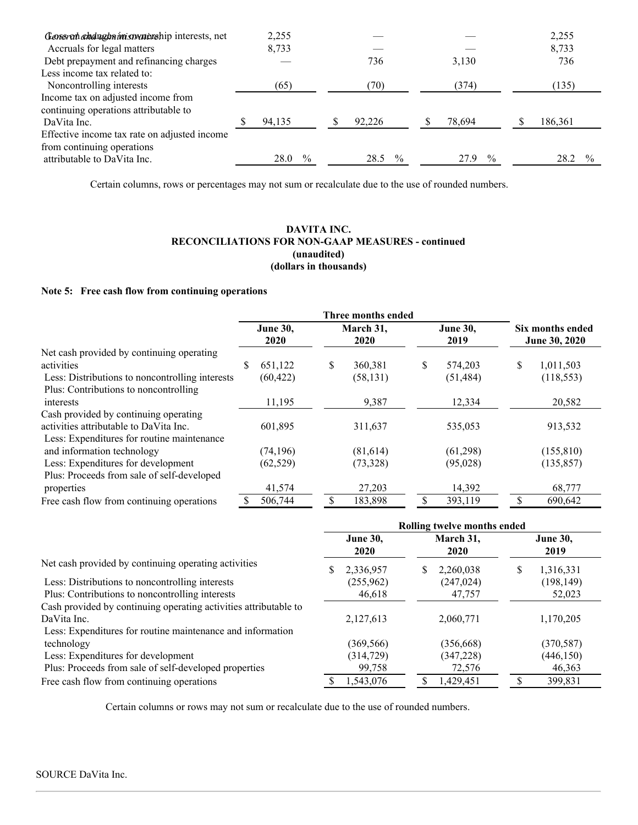| Gonsran ahdughnimismunivahip interests, net  | 2,255  |               |        |               |        |               | 2,255   |  |
|----------------------------------------------|--------|---------------|--------|---------------|--------|---------------|---------|--|
| Accruals for legal matters                   | 8,733  |               |        |               |        |               | 8,733   |  |
| Debt prepayment and refinancing charges      |        |               | 736    |               | 3,130  |               | 736     |  |
| Less income tax related to:                  |        |               |        |               |        |               |         |  |
| Noncontrolling interests                     | (65)   |               | (70)   |               | (374)  |               | (135)   |  |
| Income tax on adjusted income from           |        |               |        |               |        |               |         |  |
| continuing operations attributable to        |        |               |        |               |        |               |         |  |
| DaVita Inc.                                  | 94,135 |               | 92,226 |               | 78,694 |               | 186,361 |  |
| Effective income tax rate on adjusted income |        |               |        |               |        |               |         |  |
| from continuing operations                   |        |               |        |               |        |               |         |  |
| attributable to DaVita Inc.                  | 28.0   | $\frac{0}{0}$ | 28.5   | $\frac{0}{0}$ | 27.9   | $\frac{0}{0}$ | 28.2    |  |

Certain columns, rows or percentages may not sum or recalculate due to the use of rounded numbers.

## **DAVITA INC. RECONCILIATIONS FOR NON-GAAP MEASURES - continued (unaudited) (dollars in thousands)**

## **Note 5: Free cash flow from continuing operations**

|                                                 | Three months ended      |           |                   |           |                         |           |                                   |            |
|-------------------------------------------------|-------------------------|-----------|-------------------|-----------|-------------------------|-----------|-----------------------------------|------------|
|                                                 | <b>June 30,</b><br>2020 |           | March 31,<br>2020 |           | <b>June 30,</b><br>2019 |           | Six months ended<br>June 30, 2020 |            |
| Net cash provided by continuing operating       |                         |           |                   |           |                         |           |                                   |            |
| activities                                      | \$                      | 651,122   | \$                | 360,381   | S                       | 574,203   | \$                                | 1,011,503  |
| Less: Distributions to noncontrolling interests |                         | (60, 422) |                   | (58, 131) |                         | (51, 484) |                                   | (118, 553) |
| Plus: Contributions to noncontrolling           |                         |           |                   |           |                         |           |                                   |            |
| interests                                       |                         | 11,195    |                   | 9,387     |                         | 12,334    |                                   | 20,582     |
| Cash provided by continuing operating           |                         |           |                   |           |                         |           |                                   |            |
| activities attributable to DaVita Inc.          |                         | 601,895   |                   | 311,637   |                         | 535,053   |                                   | 913,532    |
| Less: Expenditures for routine maintenance      |                         |           |                   |           |                         |           |                                   |            |
| and information technology                      |                         | (74, 196) |                   | (81,614)  |                         | (61,298)  |                                   | (155, 810) |
| Less: Expenditures for development              |                         | (62, 529) |                   | (73,328)  |                         | (95,028)  |                                   | (135, 857) |
| Plus: Proceeds from sale of self-developed      |                         |           |                   |           |                         |           |                                   |            |
| properties                                      |                         | 41,574    |                   | 27,203    |                         | 14,392    |                                   | 68,777     |
| Free cash flow from continuing operations       |                         | 506,744   |                   | 183,898   |                         | 393,119   |                                   | 690,642    |

|                                                                  | Rolling twelve months ended |                   |                         |  |  |  |  |
|------------------------------------------------------------------|-----------------------------|-------------------|-------------------------|--|--|--|--|
|                                                                  | <b>June 30,</b><br>2020     | March 31,<br>2020 | <b>June 30,</b><br>2019 |  |  |  |  |
| Net cash provided by continuing operating activities             | 2,336,957<br>S              | 2,260,038<br>S.   | S<br>1,316,331          |  |  |  |  |
| Less: Distributions to noncontrolling interests                  | (255,962)                   | (247, 024)        | (198, 149)              |  |  |  |  |
| Plus: Contributions to noncontrolling interests                  | 46,618                      | 47,757            | 52,023                  |  |  |  |  |
| Cash provided by continuing operating activities attributable to |                             |                   |                         |  |  |  |  |
| DaVita Inc.                                                      | 2,127,613                   | 2,060,771         | 1,170,205               |  |  |  |  |
| Less: Expenditures for routine maintenance and information       |                             |                   |                         |  |  |  |  |
| technology                                                       | (369, 566)                  | (356, 668)        | (370, 587)              |  |  |  |  |
| Less: Expenditures for development                               | (314, 729)                  | (347, 228)        | (446, 150)              |  |  |  |  |
| Plus: Proceeds from sale of self-developed properties            | 99,758                      | 72,576            | 46,363                  |  |  |  |  |
| Free cash flow from continuing operations                        | 1,543,076                   | 1,429,451         | 399,831                 |  |  |  |  |

Certain columns or rows may not sum or recalculate due to the use of rounded numbers.